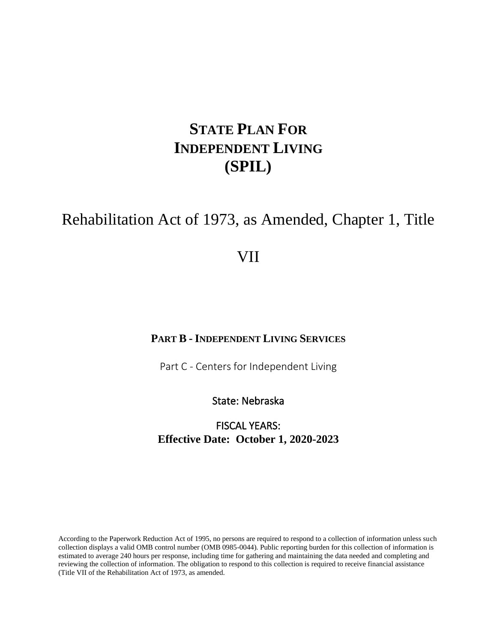# **STATE PLAN FOR INDEPENDENT LIVING (SPIL)**

# Rehabilitation Act of 1973, as Amended, Chapter 1, Title

# VII

#### **PART B - INDEPENDENT LIVING SERVICES**

Part C - Centers for Independent Living

State: Nebraska

FISCAL YEARS: **Effective Date: October 1, 2020-2023**

According to the Paperwork Reduction Act of 1995, no persons are required to respond to a collection of information unless such collection displays a valid OMB control number (OMB 0985-0044). Public reporting burden for this collection of information is estimated to average 240 hours per response, including time for gathering and maintaining the data needed and completing and reviewing the collection of information. The obligation to respond to this collection is required to receive financial assistance (Title VII of the Rehabilitation Act of 1973, as amended.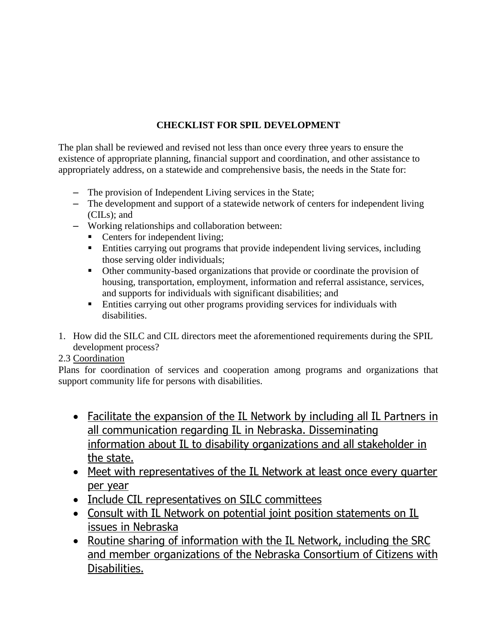## **CHECKLIST FOR SPIL DEVELOPMENT**

The plan shall be reviewed and revised not less than once every three years to ensure the existence of appropriate planning, financial support and coordination, and other assistance to appropriately address, on a statewide and comprehensive basis, the needs in the State for:

- The provision of Independent Living services in the State;
- The development and support of a statewide network of centers for independent living (CILs); and
- Working relationships and collaboration between:
	- Centers for independent living;
	- Entities carrying out programs that provide independent living services, including those serving older individuals;
	- Other community-based organizations that provide or coordinate the provision of housing, transportation, employment, information and referral assistance, services, and supports for individuals with significant disabilities; and
	- Entities carrying out other programs providing services for individuals with disabilities.
- 1. How did the SILC and CIL directors meet the aforementioned requirements during the SPIL development process?

#### 2.3 Coordination

Plans for coordination of services and cooperation among programs and organizations that support community life for persons with disabilities.

- Facilitate the expansion of the IL Network by including all IL Partners in all communication regarding IL in Nebraska. Disseminating information about IL to disability organizations and all stakeholder in the state.
- Meet with representatives of the IL Network at least once every quarter per year
- Include CIL representatives on SILC committees
- Consult with IL Network on potential joint position statements on IL issues in Nebraska
- Routine sharing of information with the IL Network, including the SRC and member organizations of the Nebraska Consortium of Citizens with Disabilities.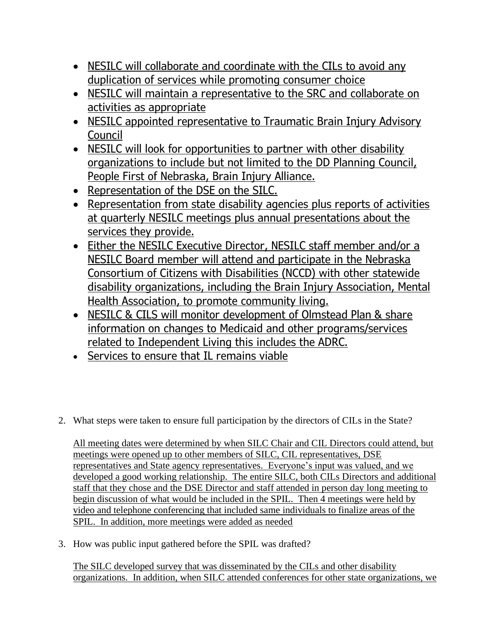- NESILC will collaborate and coordinate with the CILs to avoid any duplication of services while promoting consumer choice
- NESILC will maintain a representative to the SRC and collaborate on activities as appropriate
- NESILC appointed representative to Traumatic Brain Injury Advisory Council
- NESILC will look for opportunities to partner with other disability organizations to include but not limited to the DD Planning Council, People First of Nebraska, Brain Injury Alliance.
- Representation of the DSE on the SILC.
- Representation from state disability agencies plus reports of activities at quarterly NESILC meetings plus annual presentations about the services they provide.
- Either the NESILC Executive Director, NESILC staff member and/or a NESILC Board member will attend and participate in the Nebraska Consortium of Citizens with Disabilities (NCCD) with other statewide disability organizations, including the Brain Injury Association, Mental Health Association, to promote community living.
- NESILC & CILS will monitor development of Olmstead Plan & share information on changes to Medicaid and other programs/services related to Independent Living this includes the ADRC.
- Services to ensure that IL remains viable
- 2. What steps were taken to ensure full participation by the directors of CILs in the State?

All meeting dates were determined by when SILC Chair and CIL Directors could attend, but meetings were opened up to other members of SILC, CIL representatives, DSE representatives and State agency representatives. Everyone's input was valued, and we developed a good working relationship. The entire SILC, both CILs Directors and additional staff that they chose and the DSE Director and staff attended in person day long meeting to begin discussion of what would be included in the SPIL. Then 4 meetings were held by video and telephone conferencing that included same individuals to finalize areas of the SPIL. In addition, more meetings were added as needed

3. How was public input gathered before the SPIL was drafted?

The SILC developed survey that was disseminated by the CILs and other disability organizations. In addition, when SILC attended conferences for other state organizations, we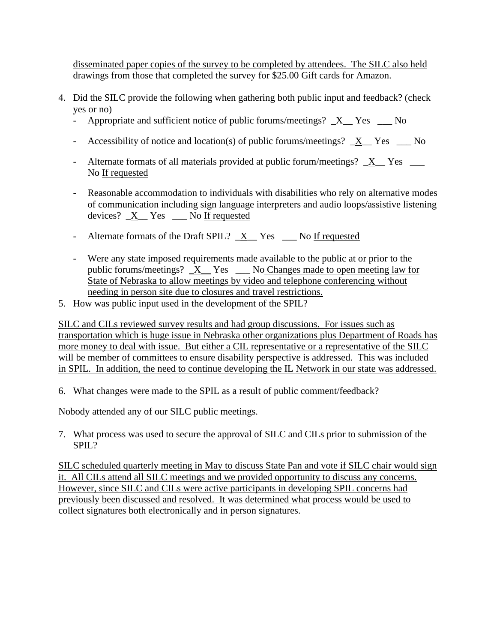disseminated paper copies of the survey to be completed by attendees. The SILC also held drawings from those that completed the survey for \$25.00 Gift cards for Amazon.

- 4. Did the SILC provide the following when gathering both public input and feedback? (check yes or no)
	- Appropriate and sufficient notice of public forums/meetings?  $X$  Yes \_ No
	- Accessibility of notice and location(s) of public forums/meetings?  $X_{\text{max}}$  Yes  $\text{max}$
	- Alternate formats of all materials provided at public forum/meetings?  $X$  Yes No If requested
	- Reasonable accommodation to individuals with disabilities who rely on alternative modes of communication including sign language interpreters and audio loops/assistive listening devices? \_X\_\_ Yes \_\_\_ No If requested
	- Alternate formats of the Draft SPIL?  $X$  Yes  $\Box$  No If requested
	- Were any state imposed requirements made available to the public at or prior to the public forums/meetings?  $X$  Yes  $\_\_$  No Changes made to open meeting law for State of Nebraska to allow meetings by video and telephone conferencing without needing in person site due to closures and travel restrictions.
- 5. How was public input used in the development of the SPIL?

SILC and CILs reviewed survey results and had group discussions. For issues such as transportation which is huge issue in Nebraska other organizations plus Department of Roads has more money to deal with issue. But either a CIL representative or a representative of the SILC will be member of committees to ensure disability perspective is addressed. This was included in SPIL. In addition, the need to continue developing the IL Network in our state was addressed.

6. What changes were made to the SPIL as a result of public comment/feedback?

Nobody attended any of our SILC public meetings.

7. What process was used to secure the approval of SILC and CILs prior to submission of the SPIL?

SILC scheduled quarterly meeting in May to discuss State Pan and vote if SILC chair would sign it. All CILs attend all SILC meetings and we provided opportunity to discuss any concerns. However, since SILC and CILs were active participants in developing SPIL concerns had previously been discussed and resolved. It was determined what process would be used to collect signatures both electronically and in person signatures.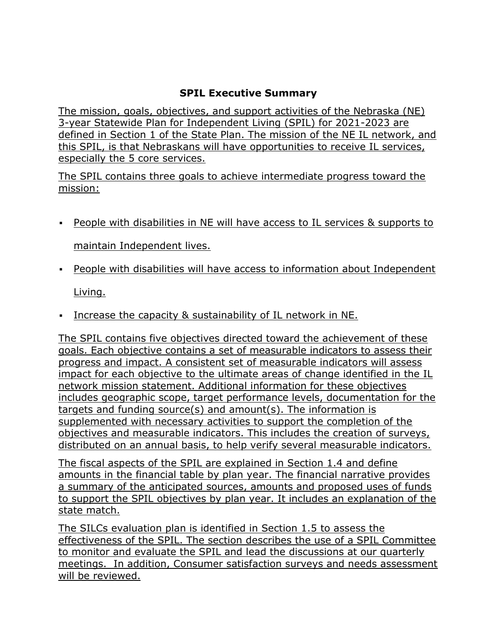# **SPIL Executive Summary**

The mission, goals, objectives, and support activities of the Nebraska (NE) 3-year Statewide Plan for Independent Living (SPIL) for 2021-2023 are defined in Section 1 of the State Plan. The mission of the NE IL network, and this SPIL, is that Nebraskans will have opportunities to receive IL services, especially the 5 core services.

The SPIL contains three goals to achieve intermediate progress toward the mission:

▪ People with disabilities in NE will have access to IL services & supports to

maintain Independent lives.

▪ People with disabilities will have access to information about Independent

Living.

**Example 1** Increase the capacity & sustainability of IL network in NE.

The SPIL contains five objectives directed toward the achievement of these goals. Each objective contains a set of measurable indicators to assess their progress and impact. A consistent set of measurable indicators will assess impact for each objective to the ultimate areas of change identified in the IL network mission statement. Additional information for these objectives includes geographic scope, target performance levels, documentation for the targets and funding source(s) and amount(s). The information is supplemented with necessary activities to support the completion of the objectives and measurable indicators. This includes the creation of surveys, distributed on an annual basis, to help verify several measurable indicators.

The fiscal aspects of the SPIL are explained in Section 1.4 and define amounts in the financial table by plan year. The financial narrative provides a summary of the anticipated sources, amounts and proposed uses of funds to support the SPIL objectives by plan year. It includes an explanation of the state match.

The SILCs evaluation plan is identified in Section 1.5 to assess the effectiveness of the SPIL. The section describes the use of a SPIL Committee to monitor and evaluate the SPIL and lead the discussions at our quarterly meetings. In addition, Consumer satisfaction surveys and needs assessment will be reviewed.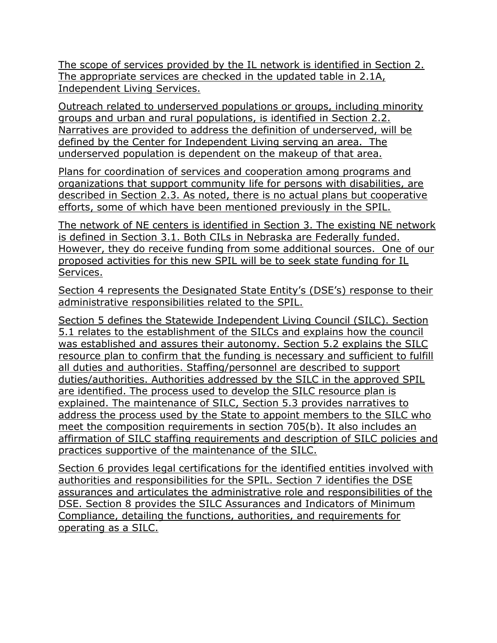The scope of services provided by the IL network is identified in Section 2. The appropriate services are checked in the updated table in 2.1A, Independent Living Services.

Outreach related to underserved populations or groups, including minority groups and urban and rural populations, is identified in Section 2.2. Narratives are provided to address the definition of underserved, will be defined by the Center for Independent Living serving an area. The underserved population is dependent on the makeup of that area.

Plans for coordination of services and cooperation among programs and organizations that support community life for persons with disabilities, are described in Section 2.3. As noted, there is no actual plans but cooperative efforts, some of which have been mentioned previously in the SPIL.

The network of NE centers is identified in Section 3. The existing NE network is defined in Section 3.1. Both CILs in Nebraska are Federally funded. However, they do receive funding from some additional sources. One of our proposed activities for this new SPIL will be to seek state funding for IL Services.

Section 4 represents the Designated State Entity's (DSE's) response to their administrative responsibilities related to the SPIL.

Section 5 defines the Statewide Independent Living Council (SILC). Section 5.1 relates to the establishment of the SILCs and explains how the council was established and assures their autonomy. Section 5.2 explains the SILC resource plan to confirm that the funding is necessary and sufficient to fulfill all duties and authorities. Staffing/personnel are described to support duties/authorities. Authorities addressed by the SILC in the approved SPIL are identified. The process used to develop the SILC resource plan is explained. The maintenance of SILC, Section 5.3 provides narratives to address the process used by the State to appoint members to the SILC who meet the composition requirements in section 705(b). It also includes an affirmation of SILC staffing requirements and description of SILC policies and practices supportive of the maintenance of the SILC.

Section 6 provides legal certifications for the identified entities involved with authorities and responsibilities for the SPIL. Section 7 identifies the DSE assurances and articulates the administrative role and responsibilities of the DSE. Section 8 provides the SILC Assurances and Indicators of Minimum Compliance, detailing the functions, authorities, and requirements for operating as a SILC.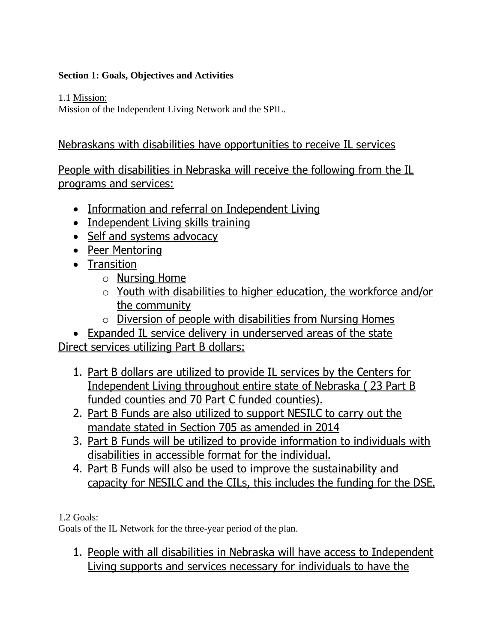### **Section 1: Goals, Objectives and Activities**

1.1 Mission:

Mission of the Independent Living Network and the SPIL.

# Nebraskans with disabilities have opportunities to receive IL services

People with disabilities in Nebraska will receive the following from the IL programs and services:

- Information and referral on Independent Living
- Independent Living skills training
- Self and systems advocacy
- Peer Mentoring
- Transition
	- o Nursing Home
	- o Youth with disabilities to higher education, the workforce and/or the community
	- o Diversion of people with disabilities from Nursing Homes

• Expanded IL service delivery in underserved areas of the state Direct services utilizing Part B dollars:

- 1. Part B dollars are utilized to provide IL services by the Centers for Independent Living throughout entire state of Nebraska ( 23 Part B funded counties and 70 Part C funded counties).
- 2. Part B Funds are also utilized to support NESILC to carry out the mandate stated in Section 705 as amended in 2014
- 3. Part B Funds will be utilized to provide information to individuals with disabilities in accessible format for the individual.
- 4. Part B Funds will also be used to improve the sustainability and capacity for NESILC and the CILs, this includes the funding for the DSE.

### 1.2 Goals:

Goals of the IL Network for the three-year period of the plan.

1. People with all disabilities in Nebraska will have access to Independent Living supports and services necessary for individuals to have the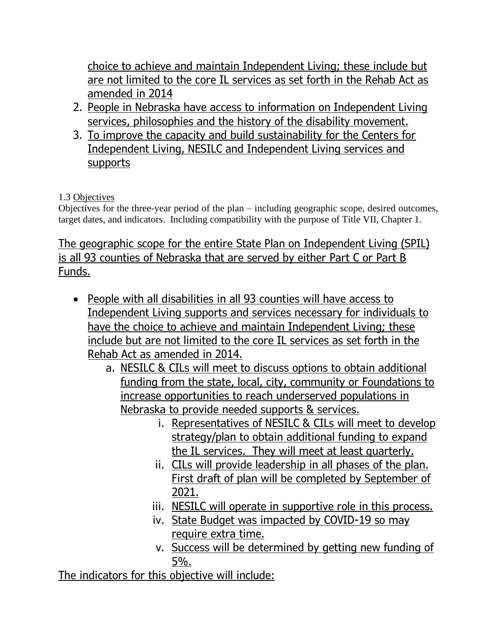choice to achieve and maintain Independent Living; these include but are not limited to the core IL services as set forth in the Rehab Act as amended in 2014

- 2. People in Nebraska have access to information on Independent Living services, philosophies and the history of the disability movement.
- 3. To improve the capacity and build sustainability for the Centers for Independent Living, NESILC and Independent Living services and supports

# 1.3 Objectives

Objectives for the three-year period of the plan – including geographic scope, desired outcomes, target dates, and indicators. Including compatibility with the purpose of Title VII, Chapter 1.

# The geographic scope for the entire State Plan on Independent Living (SPIL) is all 93 counties of Nebraska that are served by either Part C or Part B Funds.

- People with all disabilities in all 93 counties will have access to Independent Living supports and services necessary for individuals to have the choice to achieve and maintain Independent Living; these include but are not limited to the core IL services as set forth in the Rehab Act as amended in 2014.
	- a. NESILC & CILs will meet to discuss options to obtain additional funding from the state, local, city, community or Foundations to increase opportunities to reach underserved populations in Nebraska to provide needed supports & services.
		- i. Representatives of NESILC & CILs will meet to develop strategy/plan to obtain additional funding to expand the IL services. They will meet at least quarterly.
		- ii. CILs will provide leadership in all phases of the plan. First draft of plan will be completed by September of 2021.
		- iii. NESILC will operate in supportive role in this process.
		- iv. State Budget was impacted by COVID-19 so may require extra time.
		- v. Success will be determined by getting new funding of 5%.

The indicators for this objective will include: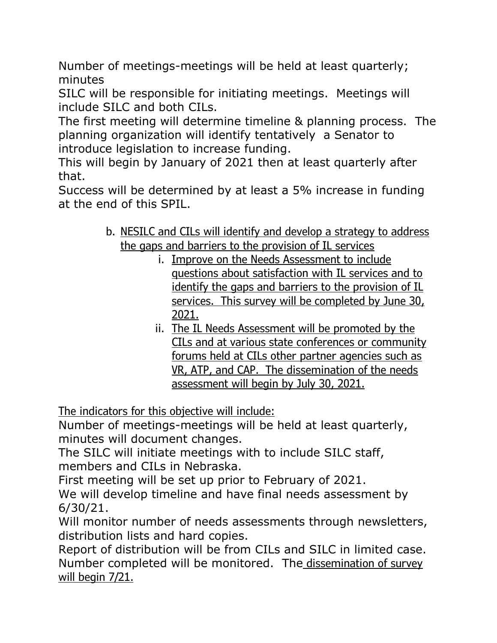Number of meetings-meetings will be held at least quarterly; minutes

SILC will be responsible for initiating meetings. Meetings will include SILC and both CILs.

The first meeting will determine timeline & planning process. The planning organization will identify tentatively a Senator to introduce legislation to increase funding.

This will begin by January of 2021 then at least quarterly after that.

Success will be determined by at least a 5% increase in funding at the end of this SPIL.

- b. NESILC and CILs will identify and develop a strategy to address the gaps and barriers to the provision of IL services
	- i. Improve on the Needs Assessment to include questions about satisfaction with IL services and to identify the gaps and barriers to the provision of IL services. This survey will be completed by June 30, 2021.
	- ii. The IL Needs Assessment will be promoted by the CILs and at various state conferences or community forums held at CILs other partner agencies such as VR, ATP, and CAP. The dissemination of the needs assessment will begin by July 30, 2021.

The indicators for this objective will include:

Number of meetings-meetings will be held at least quarterly, minutes will document changes.

The SILC will initiate meetings with to include SILC staff, members and CILs in Nebraska.

First meeting will be set up prior to February of 2021.

We will develop timeline and have final needs assessment by 6/30/21.

Will monitor number of needs assessments through newsletters, distribution lists and hard copies.

Report of distribution will be from CILs and SILC in limited case. Number completed will be monitored. The dissemination of survey will begin 7/21.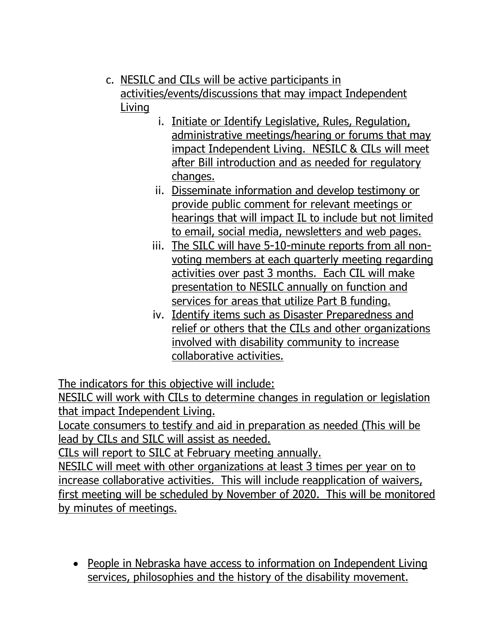- c. NESILC and CILs will be active participants in activities/events/discussions that may impact Independent Living
	- i. Initiate or Identify Legislative, Rules, Regulation, administrative meetings/hearing or forums that may impact Independent Living. NESILC & CILs will meet after Bill introduction and as needed for regulatory changes.
	- ii. Disseminate information and develop testimony or provide public comment for relevant meetings or hearings that will impact IL to include but not limited to email, social media, newsletters and web pages.
	- iii. The SILC will have 5-10-minute reports from all nonvoting members at each quarterly meeting regarding activities over past 3 months. Each CIL will make presentation to NESILC annually on function and services for areas that utilize Part B funding.
	- iv. Identify items such as Disaster Preparedness and relief or others that the CILs and other organizations involved with disability community to increase collaborative activities.

The indicators for this objective will include:

NESILC will work with CILs to determine changes in regulation or legislation that impact Independent Living.

Locate consumers to testify and aid in preparation as needed (This will be lead by CILs and SILC will assist as needed.

CILs will report to SILC at February meeting annually.

NESILC will meet with other organizations at least 3 times per year on to increase collaborative activities. This will include reapplication of waivers, first meeting will be scheduled by November of 2020. This will be monitored by minutes of meetings.

• People in Nebraska have access to information on Independent Living services, philosophies and the history of the disability movement.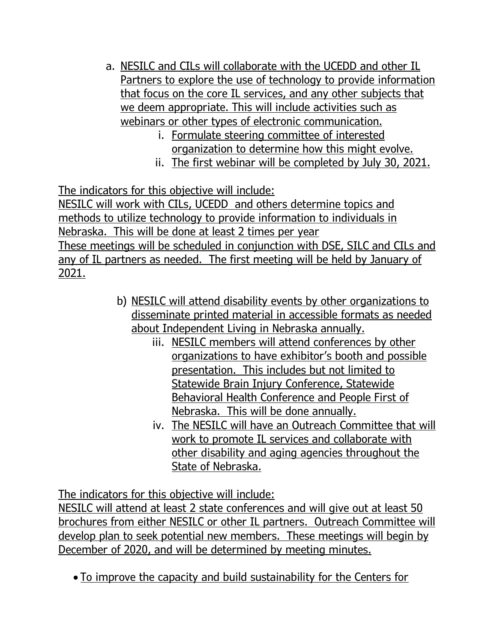- a. NESILC and CILs will collaborate with the UCEDD and other IL Partners to explore the use of technology to provide information that focus on the core IL services, and any other subjects that we deem appropriate. This will include activities such as webinars or other types of electronic communication.
	- i. Formulate steering committee of interested organization to determine how this might evolve.
	- ii. The first webinar will be completed by July 30, 2021.

The indicators for this objective will include:

NESILC will work with CILs, UCEDD and others determine topics and methods to utilize technology to provide information to individuals in Nebraska. This will be done at least 2 times per year These meetings will be scheduled in conjunction with DSE, SILC and CILs and any of IL partners as needed. The first meeting will be held by January of 2021.

- b) NESILC will attend disability events by other organizations to disseminate printed material in accessible formats as needed about Independent Living in Nebraska annually.
	- iii. NESILC members will attend conferences by other organizations to have exhibitor's booth and possible presentation. This includes but not limited to Statewide Brain Injury Conference, Statewide Behavioral Health Conference and People First of Nebraska. This will be done annually.
	- iv. The NESILC will have an Outreach Committee that will work to promote IL services and collaborate with other disability and aging agencies throughout the State of Nebraska.

The indicators for this objective will include:

NESILC will attend at least 2 state conferences and will give out at least 50 brochures from either NESILC or other IL partners. Outreach Committee will develop plan to seek potential new members. These meetings will begin by December of 2020, and will be determined by meeting minutes.

• To improve the capacity and build sustainability for the Centers for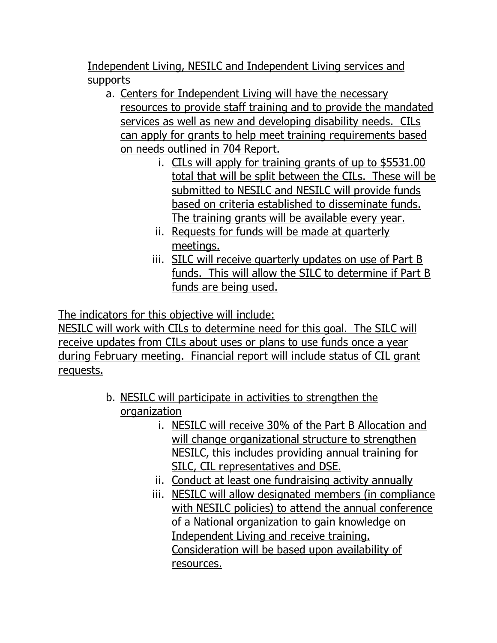Independent Living, NESILC and Independent Living services and supports

- a. Centers for Independent Living will have the necessary resources to provide staff training and to provide the mandated services as well as new and developing disability needs. CILs can apply for grants to help meet training requirements based on needs outlined in 704 Report.
	- i. CILs will apply for training grants of up to \$5531.00 total that will be split between the CILs. These will be submitted to NESILC and NESILC will provide funds based on criteria established to disseminate funds. The training grants will be available every year.
	- ii. Requests for funds will be made at quarterly meetings.
	- iii. SILC will receive quarterly updates on use of Part B funds. This will allow the SILC to determine if Part B funds are being used.

The indicators for this objective will include:

NESILC will work with CILs to determine need for this goal. The SILC will receive updates from CILs about uses or plans to use funds once a year during February meeting. Financial report will include status of CIL grant requests.

- b. NESILC will participate in activities to strengthen the organization
	- i. NESILC will receive 30% of the Part B Allocation and will change organizational structure to strengthen NESILC, this includes providing annual training for SILC, CIL representatives and DSE.
	- ii. Conduct at least one fundraising activity annually
	- iii. NESILC will allow designated members (in compliance with NESILC policies) to attend the annual conference of a National organization to gain knowledge on Independent Living and receive training. Consideration will be based upon availability of resources.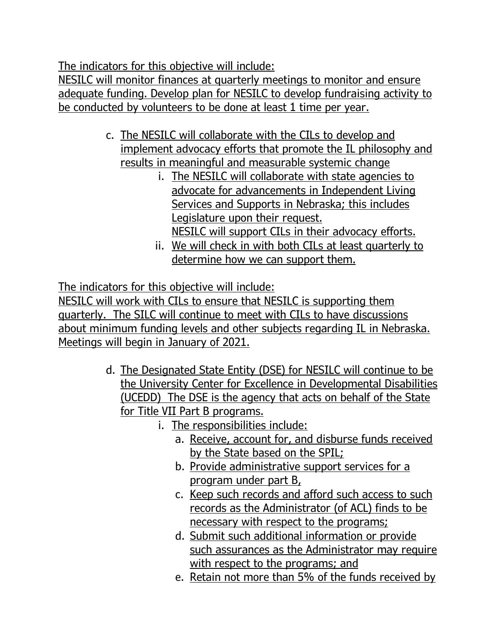The indicators for this objective will include:

NESILC will monitor finances at quarterly meetings to monitor and ensure adequate funding. Develop plan for NESILC to develop fundraising activity to be conducted by volunteers to be done at least 1 time per year.

- c. The NESILC will collaborate with the CILs to develop and implement advocacy efforts that promote the IL philosophy and results in meaningful and measurable systemic change
	- i. The NESILC will collaborate with state agencies to advocate for advancements in Independent Living Services and Supports in Nebraska; this includes Legislature upon their request. NESILC will support CILs in their advocacy efforts.
	- ii. We will check in with both CILs at least quarterly to determine how we can support them.

The indicators for this objective will include:

NESILC will work with CILs to ensure that NESILC is supporting them quarterly. The SILC will continue to meet with CILs to have discussions about minimum funding levels and other subjects regarding IL in Nebraska. Meetings will begin in January of 2021.

- d. The Designated State Entity (DSE) for NESILC will continue to be the University Center for Excellence in Developmental Disabilities (UCEDD) The DSE is the agency that acts on behalf of the State for Title VII Part B programs.
	- i. The responsibilities include:
		- a. Receive, account for, and disburse funds received by the State based on the SPIL;
		- b. Provide administrative support services for a program under part B,
		- c. Keep such records and afford such access to such records as the Administrator (of ACL) finds to be necessary with respect to the programs;
		- d. Submit such additional information or provide such assurances as the Administrator may require with respect to the programs; and
		- e. Retain not more than 5% of the funds received by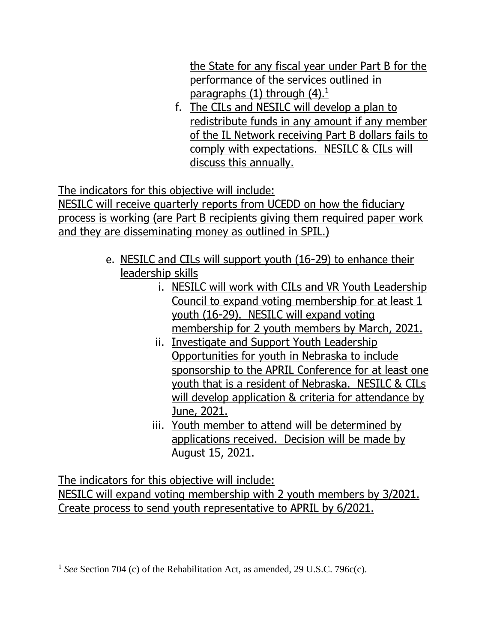the State for any fiscal year under Part B for the performance of the services outlined in paragraphs  $(1)$  through  $(4).<sup>1</sup>$ 

f. The CILs and NESILC will develop a plan to redistribute funds in any amount if any member of the IL Network receiving Part B dollars fails to comply with expectations. NESILC & CILs will discuss this annually.

The indicators for this objective will include:

NESILC will receive quarterly reports from UCEDD on how the fiduciary process is working (are Part B recipients giving them required paper work and they are disseminating money as outlined in SPIL.)

- e. NESILC and CILs will support youth (16-29) to enhance their leadership skills
	- i. NESILC will work with CILs and VR Youth Leadership Council to expand voting membership for at least 1 youth (16-29). NESILC will expand voting membership for 2 youth members by March, 2021.
	- ii. Investigate and Support Youth Leadership Opportunities for youth in Nebraska to include sponsorship to the APRIL Conference for at least one youth that is a resident of Nebraska. NESILC & CILs will develop application & criteria for attendance by June, 2021.
	- iii. Youth member to attend will be determined by applications received. Decision will be made by August 15, 2021.

The indicators for this objective will include:

NESILC will expand voting membership with 2 youth members by 3/2021. Create process to send youth representative to APRIL by 6/2021.

<sup>&</sup>lt;sup>1</sup> See Section 704 (c) of the Rehabilitation Act, as amended, 29 U.S.C. 796c(c).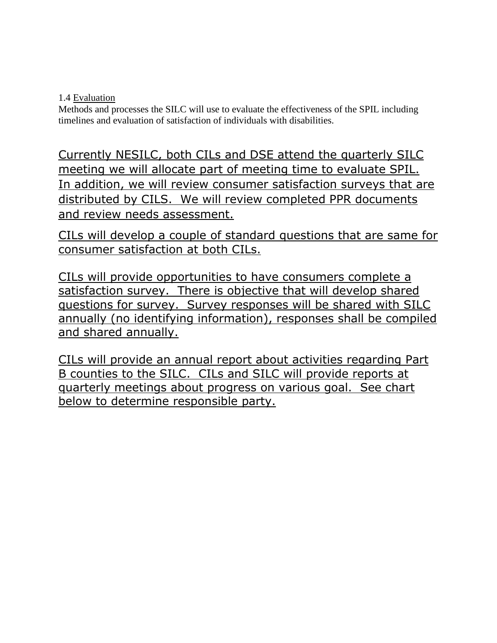1.4 Evaluation

Methods and processes the SILC will use to evaluate the effectiveness of the SPIL including timelines and evaluation of satisfaction of individuals with disabilities.

Currently NESILC, both CILs and DSE attend the quarterly SILC meeting we will allocate part of meeting time to evaluate SPIL. In addition, we will review consumer satisfaction surveys that are distributed by CILS. We will review completed PPR documents and review needs assessment.

CILs will develop a couple of standard questions that are same for consumer satisfaction at both CILs.

CILs will provide opportunities to have consumers complete a satisfaction survey. There is objective that will develop shared questions for survey. Survey responses will be shared with SILC annually (no identifying information), responses shall be compiled and shared annually.

CILs will provide an annual report about activities regarding Part B counties to the SILC. CILs and SILC will provide reports at quarterly meetings about progress on various goal. See chart below to determine responsible party.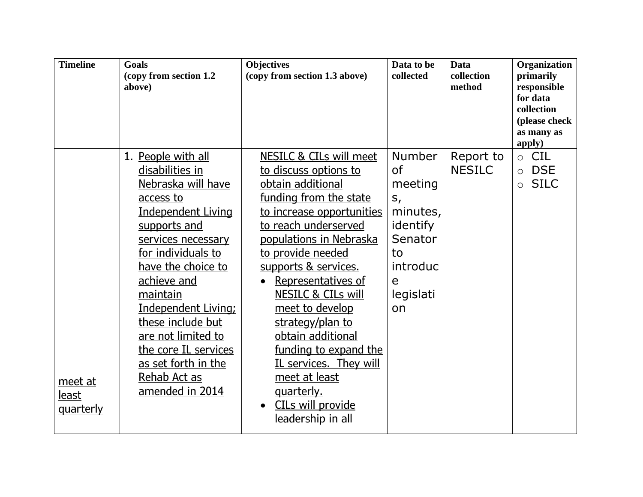| <b>Timeline</b>                      | <b>Goals</b><br>(copy from section 1.2)<br>above)                                                                                                                                                                                                                                                                                                                                    | <b>Objectives</b><br>(copy from section 1.3 above)                                                                                                                                                                                                                                                                                                                                                                                                                                                   | Data to be<br>collected                                                                                                       | <b>Data</b><br>collection<br>method | Organization<br>primarily<br>responsible<br>for data<br>collection<br>(please check<br>as many as<br>apply) |
|--------------------------------------|--------------------------------------------------------------------------------------------------------------------------------------------------------------------------------------------------------------------------------------------------------------------------------------------------------------------------------------------------------------------------------------|------------------------------------------------------------------------------------------------------------------------------------------------------------------------------------------------------------------------------------------------------------------------------------------------------------------------------------------------------------------------------------------------------------------------------------------------------------------------------------------------------|-------------------------------------------------------------------------------------------------------------------------------|-------------------------------------|-------------------------------------------------------------------------------------------------------------|
| meet at<br>least<br><u>quarterly</u> | 1. People with all<br>disabilities in<br><u>Nebraska will have</u><br>access to<br><b>Independent Living</b><br>supports and<br>services necessary<br>for individuals to<br>have the choice to<br>achieve and<br>maintain<br><b>Independent Living:</b><br>these include but<br>are not limited to<br>the core IL services<br>as set forth in the<br>Rehab Act as<br>amended in 2014 | <b>NESILC &amp; CILs will meet</b><br>to discuss options to<br>obtain additional<br>funding from the state<br>to increase opportunities<br>to reach underserved<br>populations in Nebraska<br>to provide needed<br>supports & services.<br>Representatives of<br><b>NESILC &amp; CILs will</b><br>meet to develop<br>strategy/plan to<br>obtain additional<br>funding to expand the<br>IL services. They will<br>meet at least<br><u>quarterly.</u><br><b>CILs will provide</b><br>leadership in all | <b>Number</b><br><b>of</b><br>meeting<br>$S_{I}$<br>minutes,<br>identify<br>Senator<br>to<br>introduc<br>e<br>legislati<br>on | Report to<br><b>NESILC</b>          | $\circ$ CIL<br><b>DSE</b><br>$\circ$<br><b>SILC</b><br>$\circ$                                              |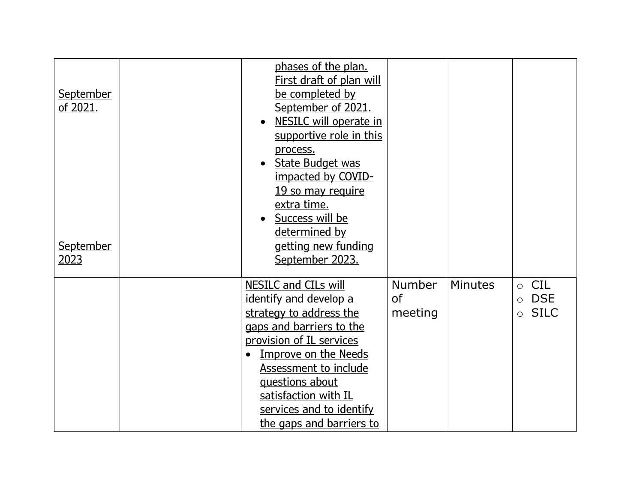| <b>September</b><br>of 2021.<br>September<br>2023 | phases of the plan.<br><b>First draft of plan will</b><br>be completed by<br>September of 2021.<br><b>NESILC will operate in</b><br>supportive role in this<br>process.<br>State Budget was<br>impacted by COVID-<br>19 so may require<br>extra time.<br>Success will be<br>determined by<br>getting new funding<br>September 2023. |                                       |                |                                                                |
|---------------------------------------------------|-------------------------------------------------------------------------------------------------------------------------------------------------------------------------------------------------------------------------------------------------------------------------------------------------------------------------------------|---------------------------------------|----------------|----------------------------------------------------------------|
|                                                   | <b>NESILC and CILs will</b><br>identify and develop a<br>strategy to address the<br>gaps and barriers to the<br>provision of IL services<br><b>Improve on the Needs</b><br>$\bullet$<br>Assessment to include<br>questions about<br>satisfaction with IL<br>services and to identify<br>the gaps and barriers to                    | <b>Number</b><br><b>of</b><br>meeting | <b>Minutes</b> | <b>CIL</b><br><b>DSE</b><br>$\circ$<br><b>SILC</b><br>$\Omega$ |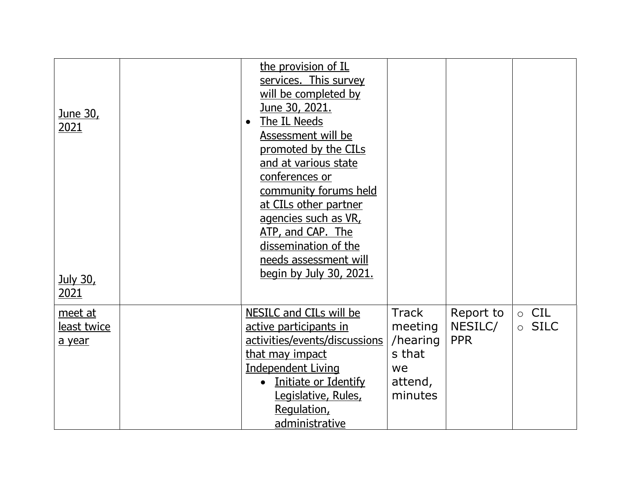| <u>June 30, </u><br>2021<br><u>July 30,</u><br><u> 2021</u> | the provision of IL<br>services. This survey<br>will be completed by<br>June 30, 2021.<br>The IL Needs<br>$\bullet$<br>Assessment will be<br>promoted by the CILs<br>and at various state<br>conferences or<br>community forums held<br>at CILs other partner<br>agencies such as VR,<br>ATP, and CAP. The<br>dissemination of the<br>needs assessment will<br><u>begin by July 30, 2021.</u> |                                                                           |                                    |                                       |
|-------------------------------------------------------------|-----------------------------------------------------------------------------------------------------------------------------------------------------------------------------------------------------------------------------------------------------------------------------------------------------------------------------------------------------------------------------------------------|---------------------------------------------------------------------------|------------------------------------|---------------------------------------|
| meet at<br><u>least twice</u><br>a year                     | NESILC and CILs will be<br>active participants in<br>activities/events/discussions<br>that may impact<br><b>Independent Living</b><br>Initiate or Identify<br>Legislative, Rules,<br>Regulation,<br>administrative                                                                                                                                                                            | <b>Track</b><br>meeting<br>/hearing<br>s that<br>we<br>attend,<br>minutes | Report to<br>NESILC/<br><b>PPR</b> | $\circ$ CIL<br><b>SILC</b><br>$\circ$ |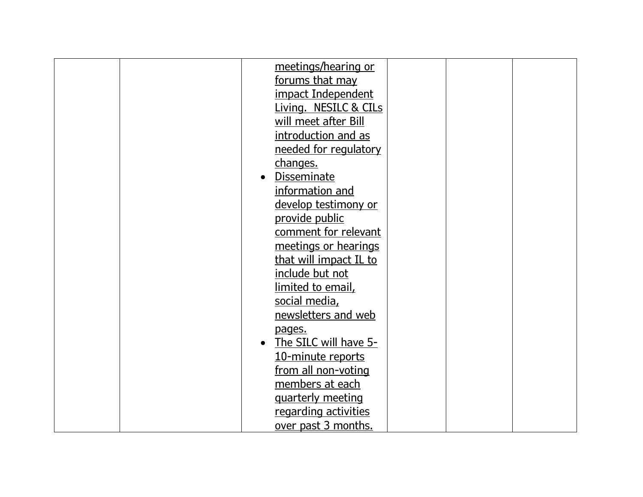|  | meetings/hearing or    |  |  |
|--|------------------------|--|--|
|  | forums that may        |  |  |
|  | impact Independent     |  |  |
|  | Living. NESILC & CILs  |  |  |
|  | will meet after Bill   |  |  |
|  | introduction and as    |  |  |
|  | needed for regulatory  |  |  |
|  | changes.               |  |  |
|  | <b>Disseminate</b>     |  |  |
|  | information and        |  |  |
|  | develop testimony or   |  |  |
|  | provide public         |  |  |
|  | comment for relevant   |  |  |
|  | meetings or hearings   |  |  |
|  | that will impact IL to |  |  |
|  | <u>include but not</u> |  |  |
|  | limited to email,      |  |  |
|  | social media,          |  |  |
|  | newsletters and web    |  |  |
|  | pages.                 |  |  |
|  | The SILC will have 5-  |  |  |
|  | 10-minute reports      |  |  |
|  | from all non-voting    |  |  |
|  | members at each        |  |  |
|  | quarterly meeting      |  |  |
|  | regarding activities   |  |  |
|  | over past 3 months.    |  |  |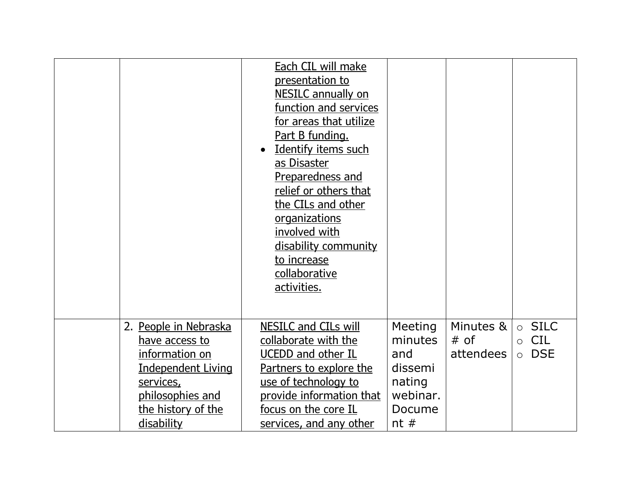|                                                                                                                                                             | <b>Each CIL will make</b><br>presentation to<br><b>NESILC</b> annually on<br>function and services<br>for areas that utilize<br>Part B funding.<br><u>Identify items such</u><br>$\bullet$<br>as Disaster<br>Preparedness and<br>relief or others that<br>the CILs and other<br><u>organizations</u><br>involved with<br>disability community<br>to increase<br>collaborative<br>activities. |                                                                             |                                  |                                                                |
|-------------------------------------------------------------------------------------------------------------------------------------------------------------|----------------------------------------------------------------------------------------------------------------------------------------------------------------------------------------------------------------------------------------------------------------------------------------------------------------------------------------------------------------------------------------------|-----------------------------------------------------------------------------|----------------------------------|----------------------------------------------------------------|
|                                                                                                                                                             |                                                                                                                                                                                                                                                                                                                                                                                              |                                                                             |                                  |                                                                |
| 2. People in Nebraska<br>have access to<br>information on<br><b>Independent Living</b><br>services,<br>philosophies and<br>the history of the<br>disability | <b>NESILC and CILs will</b><br>collaborate with the<br><b>UCEDD and other IL</b><br><u>Partners to explore the </u><br>use of technology to<br>provide information that<br><u>focus on the core IL</u><br><u>services, and any other</u>                                                                                                                                                     | Meeting<br>minutes<br>and<br>dissemi<br>nating<br>webinar.<br>Docume<br>nt# | Minutes &<br>$#$ of<br>attendees | $\circ$ SILC<br><b>CIL</b><br>$\circ$<br><b>DSE</b><br>$\circ$ |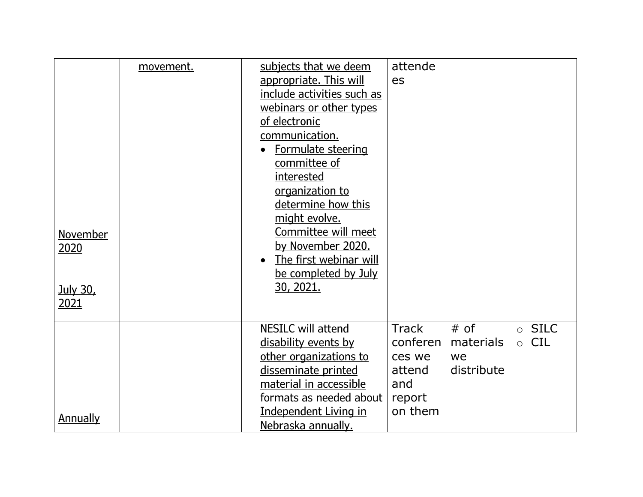|                 | movement. | subjects that we deem               | attende      |            |                       |
|-----------------|-----------|-------------------------------------|--------------|------------|-----------------------|
|                 |           | appropriate. This will              | es           |            |                       |
|                 |           | include activities such as          |              |            |                       |
|                 |           | webinars or other types             |              |            |                       |
|                 |           | of electronic                       |              |            |                       |
|                 |           | communication.                      |              |            |                       |
|                 |           | Formulate steering                  |              |            |                       |
|                 |           | committee of                        |              |            |                       |
|                 |           | interested                          |              |            |                       |
|                 |           | organization to                     |              |            |                       |
|                 |           | determine how this                  |              |            |                       |
|                 |           | might evolve.                       |              |            |                       |
| <b>November</b> |           | Committee will meet                 |              |            |                       |
| 2020            |           | by November 2020.                   |              |            |                       |
|                 |           | The first webinar will<br>$\bullet$ |              |            |                       |
|                 |           | be completed by July                |              |            |                       |
| <b>July 30,</b> |           | 30, 2021.                           |              |            |                       |
| <u>2021</u>     |           |                                     |              |            |                       |
|                 |           |                                     |              |            |                       |
|                 |           | <b>NESILC will attend</b>           | <b>Track</b> | $#$ of     | $\circ$ SILC          |
|                 |           | disability events by                | conferen     | materials  | <b>CIL</b><br>$\circ$ |
|                 |           | other organizations to              | ces we       | we         |                       |
|                 |           | disseminate printed                 | attend       | distribute |                       |
|                 |           | material in accessible              | and          |            |                       |
|                 |           | formats as needed about             | report       |            |                       |
|                 |           | <b>Independent Living in</b>        | on them      |            |                       |
| <b>Annually</b> |           | Nebraska annually.                  |              |            |                       |
|                 |           |                                     |              |            |                       |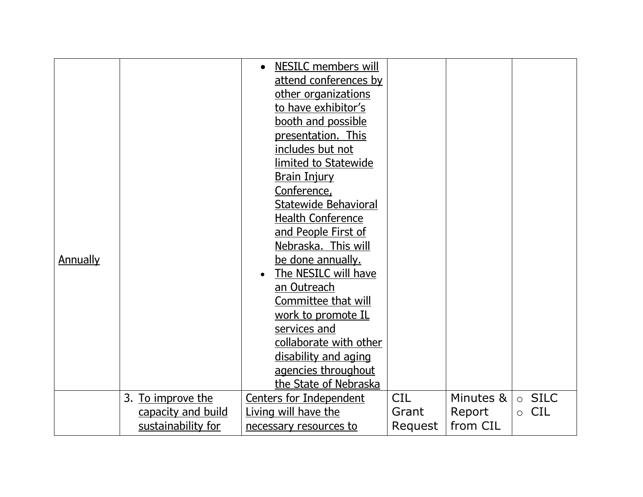|                 |                    | NESILC members will            |            |           |                       |
|-----------------|--------------------|--------------------------------|------------|-----------|-----------------------|
|                 |                    |                                |            |           |                       |
|                 |                    | attend conferences by          |            |           |                       |
|                 |                    | other organizations            |            |           |                       |
|                 |                    | to have exhibitor's            |            |           |                       |
|                 |                    | booth and possible             |            |           |                       |
|                 |                    | presentation. This             |            |           |                       |
|                 |                    | includes but not               |            |           |                       |
|                 |                    | limited to Statewide           |            |           |                       |
|                 |                    | <b>Brain Injury</b>            |            |           |                       |
|                 |                    | Conference,                    |            |           |                       |
|                 |                    | <b>Statewide Behavioral</b>    |            |           |                       |
|                 |                    | <b>Health Conference</b>       |            |           |                       |
|                 |                    | and People First of            |            |           |                       |
|                 |                    | Nebraska. This will            |            |           |                       |
| <b>Annually</b> |                    | be done annually.              |            |           |                       |
|                 |                    | The NESILC will have           |            |           |                       |
|                 |                    | an Outreach                    |            |           |                       |
|                 |                    | Committee that will            |            |           |                       |
|                 |                    | work to promote IL             |            |           |                       |
|                 |                    | services and                   |            |           |                       |
|                 |                    | collaborate with other         |            |           |                       |
|                 |                    | disability and aging           |            |           |                       |
|                 |                    | agencies throughout            |            |           |                       |
|                 |                    |                                |            |           |                       |
|                 |                    | the State of Nebraska          | <b>CIL</b> | Minutes & |                       |
|                 | 3. To improve the  | <b>Centers for Independent</b> |            |           | $\circ$ SILC          |
|                 | capacity and build | Living will have the           | Grant      | Report    | <b>CIL</b><br>$\circ$ |
|                 | sustainability for | necessary resources to         | Request    | from CIL  |                       |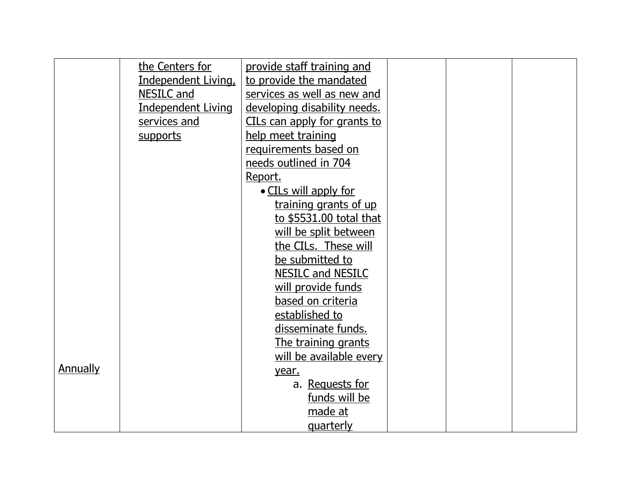|                 | the Centers for           | provide staff training and   |  |  |
|-----------------|---------------------------|------------------------------|--|--|
|                 | Independent Living,       | to provide the mandated      |  |  |
|                 | NESILC and                | services as well as new and  |  |  |
|                 | <b>Independent Living</b> | developing disability needs. |  |  |
|                 | services and              | CILs can apply for grants to |  |  |
|                 | supports                  | help meet training           |  |  |
|                 |                           | requirements based on        |  |  |
|                 |                           | needs outlined in 704        |  |  |
|                 |                           | Report.                      |  |  |
|                 |                           | • CILs will apply for        |  |  |
|                 |                           | training grants of up        |  |  |
|                 |                           | to \$5531.00 total that      |  |  |
|                 |                           | will be split between        |  |  |
|                 |                           | the CILs. These will         |  |  |
|                 |                           | be submitted to              |  |  |
|                 |                           | <b>NESILC and NESILC</b>     |  |  |
|                 |                           | will provide funds           |  |  |
|                 |                           | based on criteria            |  |  |
|                 |                           | established to               |  |  |
|                 |                           | disseminate funds.           |  |  |
|                 |                           | The training grants          |  |  |
|                 |                           | will be available every      |  |  |
| <b>Annually</b> |                           | year.                        |  |  |
|                 |                           | a. Requests for              |  |  |
|                 |                           | funds will be                |  |  |
|                 |                           | made at                      |  |  |
|                 |                           | <u>quarterly</u>             |  |  |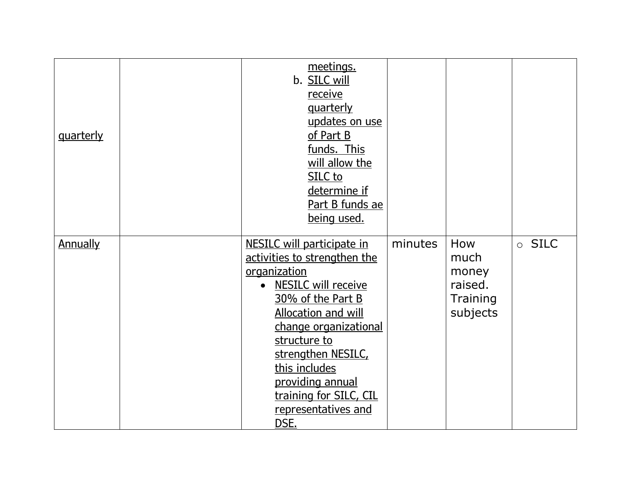| <u>quarterly</u> | meetings.<br>b. SILC will<br>receive<br><u>quarterly</u><br>updates on use<br>of Part B<br>funds. This<br>will allow the<br>SILC to<br>determine if<br>Part B funds ae<br>being used.                                                                                                                                      |         |                                                         |              |
|------------------|----------------------------------------------------------------------------------------------------------------------------------------------------------------------------------------------------------------------------------------------------------------------------------------------------------------------------|---------|---------------------------------------------------------|--------------|
| <b>Annually</b>  | <b>NESILC will participate in</b><br>activities to strengthen the<br>organization<br>• NESILC will receive<br>30% of the Part B<br><b>Allocation and will</b><br>change organizational<br>structure to<br>strengthen NESILC,<br>this includes<br>providing annual<br>training for SILC, CIL<br>representatives and<br>DSE. | minutes | How<br>much<br>money<br>raised.<br>Training<br>subjects | $\circ$ SILC |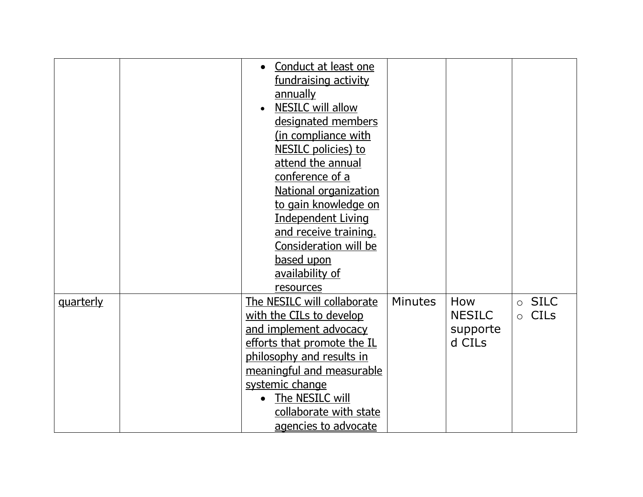|                  | Conduct at least one<br>$\bullet$     |                |               |                        |
|------------------|---------------------------------------|----------------|---------------|------------------------|
|                  | fundraising activity                  |                |               |                        |
|                  | annually                              |                |               |                        |
|                  | <b>NESILC will allow</b><br>$\bullet$ |                |               |                        |
|                  | designated members                    |                |               |                        |
|                  | (in compliance with                   |                |               |                        |
|                  | NESILC policies) to                   |                |               |                        |
|                  | attend the annual                     |                |               |                        |
|                  | conference of a                       |                |               |                        |
|                  | National organization                 |                |               |                        |
|                  | to gain knowledge on                  |                |               |                        |
|                  | <b>Independent Living</b>             |                |               |                        |
|                  | and receive training.                 |                |               |                        |
|                  | <b>Consideration will be</b>          |                |               |                        |
|                  | based upon                            |                |               |                        |
|                  | availability of                       |                |               |                        |
|                  | resources                             |                |               |                        |
| <u>quarterly</u> | The NESILC will collaborate           | <b>Minutes</b> | How           | $\circ$ SILC           |
|                  | with the CILs to develop              |                | <b>NESILC</b> | <b>CILs</b><br>$\circ$ |
|                  | and implement advocacy                |                | supporte      |                        |
|                  | efforts that promote the IL           |                | d CILs        |                        |
|                  | philosophy and results in             |                |               |                        |
|                  | meaningful and measurable             |                |               |                        |
|                  | systemic change                       |                |               |                        |
|                  | The NESILC will<br>$\bullet$          |                |               |                        |
|                  | collaborate with state                |                |               |                        |
|                  | agencies to advocate                  |                |               |                        |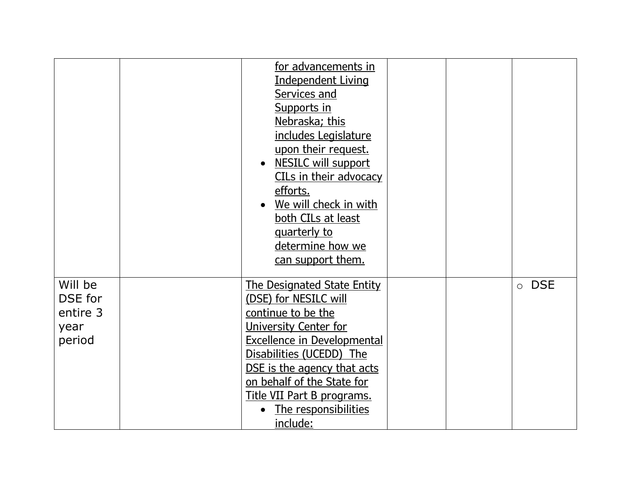|                                                  | for advancements in<br><b>Independent Living</b><br>Services and<br>Supports in<br>Nebraska; this<br>includes Legislature<br>upon their request.<br>• NESILC will support<br>CILs in their advocacy<br>efforts.<br>We will check in with<br>both CILs at least<br>quarterly to<br>determine how we<br>can support them. |  |                       |
|--------------------------------------------------|-------------------------------------------------------------------------------------------------------------------------------------------------------------------------------------------------------------------------------------------------------------------------------------------------------------------------|--|-----------------------|
| Will be<br>DSE for<br>entire 3<br>year<br>period | <b>The Designated State Entity</b><br>(DSE) for NESILC will<br>continue to be the<br>University Center for<br><b>Excellence in Developmental</b><br>Disabilities (UCEDD) The<br>DSE is the agency that acts<br>on behalf of the State for<br>Title VII Part B programs.<br>The responsibilities<br>include:             |  | <b>DSE</b><br>$\circ$ |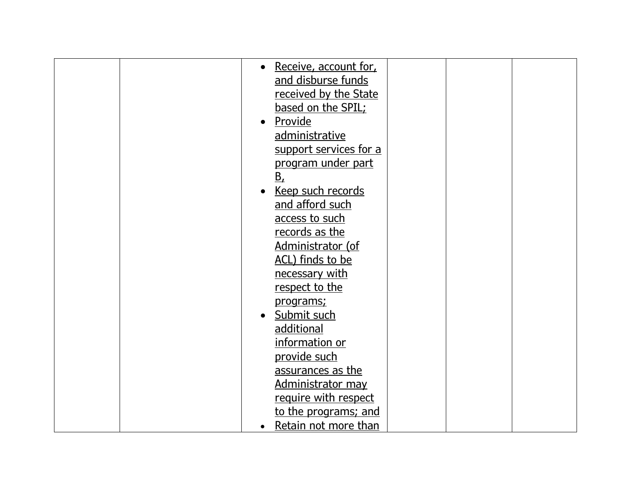| Receive, account for,<br>$\bullet$ |
|------------------------------------|
| and disburse funds                 |
| received by the State              |
| based on the SPIL;                 |
| Provide                            |
| administrative                     |
| support services for a             |
| program under part                 |
| $B_{\iota}$                        |
| Keep such records                  |
| and afford such                    |
| access to such                     |
| records as the                     |
| Administrator (of                  |
| ACL) finds to be                   |
| necessary with                     |
| respect to the                     |
| programs;                          |
| Submit such                        |
| additional                         |
| information or                     |
| provide such                       |
| assurances as the                  |
| Administrator may                  |
| require with respect               |
| to the programs; and               |
| Retain not more than<br>$\bullet$  |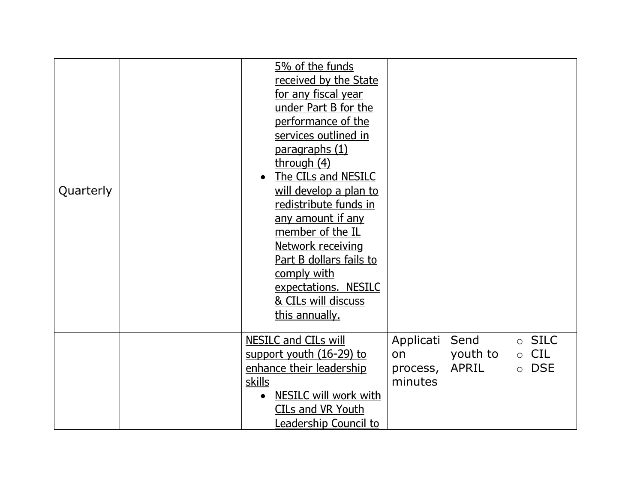| Quarterly | 5% of the funds<br>received by the State<br>for any fiscal year<br>under Part B for the<br>performance of the<br>services outlined in<br><u>paragraphs (1)</u><br>through (4)<br>The CILs and NESILC<br>will develop a plan to<br>redistribute funds in<br>any amount if any<br>member of the IL<br>Network receiving<br>Part B dollars fails to<br>comply with<br>expectations. NESILC |                                        |                                  |                                                                |
|-----------|-----------------------------------------------------------------------------------------------------------------------------------------------------------------------------------------------------------------------------------------------------------------------------------------------------------------------------------------------------------------------------------------|----------------------------------------|----------------------------------|----------------------------------------------------------------|
|           | & CILs will discuss<br>this annually.                                                                                                                                                                                                                                                                                                                                                   |                                        |                                  |                                                                |
|           | <b>NESILC and CILs will</b><br>support youth (16-29) to<br>enhance their leadership<br>skills<br><b>NESILC will work with</b><br>CILs and VR Youth<br>Leadership Council to                                                                                                                                                                                                             | Applicati<br>on<br>process,<br>minutes | Send<br>youth to<br><b>APRIL</b> | $\circ$ SILC<br><b>CIL</b><br>$\circ$<br><b>DSE</b><br>$\circ$ |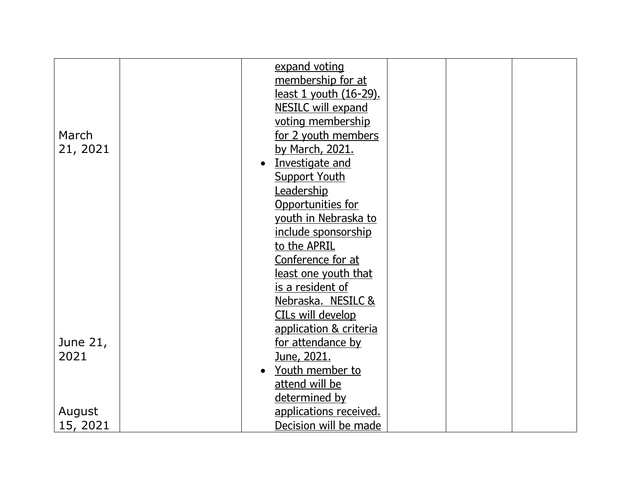| <u>least one youth that</u> |                                                                                                                                                                                                                                                                                                                                                                                                                                                                                                                 |  |
|-----------------------------|-----------------------------------------------------------------------------------------------------------------------------------------------------------------------------------------------------------------------------------------------------------------------------------------------------------------------------------------------------------------------------------------------------------------------------------------------------------------------------------------------------------------|--|
| is a resident of            |                                                                                                                                                                                                                                                                                                                                                                                                                                                                                                                 |  |
| Nebraska. NESILC &          |                                                                                                                                                                                                                                                                                                                                                                                                                                                                                                                 |  |
| CILs will develop           |                                                                                                                                                                                                                                                                                                                                                                                                                                                                                                                 |  |
|                             |                                                                                                                                                                                                                                                                                                                                                                                                                                                                                                                 |  |
|                             |                                                                                                                                                                                                                                                                                                                                                                                                                                                                                                                 |  |
|                             |                                                                                                                                                                                                                                                                                                                                                                                                                                                                                                                 |  |
|                             |                                                                                                                                                                                                                                                                                                                                                                                                                                                                                                                 |  |
|                             |                                                                                                                                                                                                                                                                                                                                                                                                                                                                                                                 |  |
|                             |                                                                                                                                                                                                                                                                                                                                                                                                                                                                                                                 |  |
|                             |                                                                                                                                                                                                                                                                                                                                                                                                                                                                                                                 |  |
|                             |                                                                                                                                                                                                                                                                                                                                                                                                                                                                                                                 |  |
|                             | expand voting<br>membership for at<br><u>least 1 youth (16-29).</u><br><b>NESILC will expand</b><br>voting membership<br>for 2 youth members<br>by March, 2021.<br>Investigate and<br><b>Support Youth</b><br>Leadership<br>Opportunities for<br>vouth in Nebraska to<br><u>include sponsorship</u><br>to the APRIL<br>Conference for at<br>application & criteria<br>for attendance by<br>June, 2021.<br>Youth member to<br>attend will be<br>determined by<br>applications received.<br>Decision will be made |  |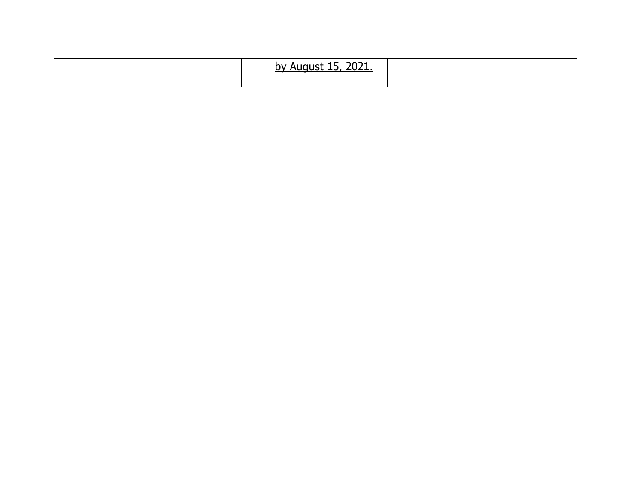|  | 2021.<br>hv.<br>-- |  |  |
|--|--------------------|--|--|
|  |                    |  |  |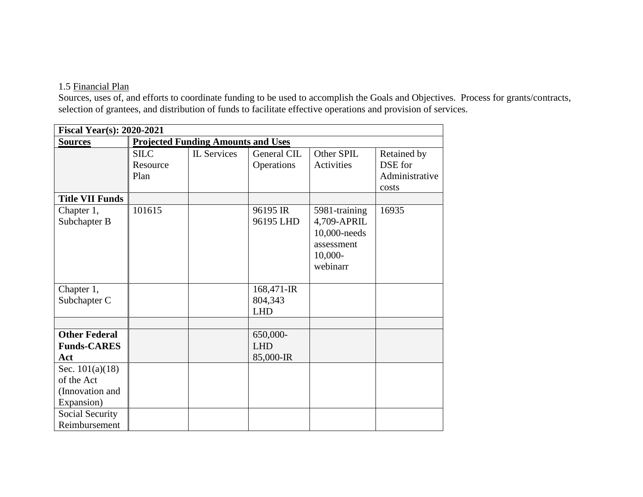#### 1.5 Financial Plan

Sources, uses of, and efforts to coordinate funding to be used to accomplish the Goals and Objectives. Process for grants/contracts, selection of grantees, and distribution of funds to facilitate effective operations and provision of services.

| <b>Fiscal Year(s): 2020-2021</b>                                                    |                                 |                                           |                                     |                                                                                     |                                                   |
|-------------------------------------------------------------------------------------|---------------------------------|-------------------------------------------|-------------------------------------|-------------------------------------------------------------------------------------|---------------------------------------------------|
| <b>Sources</b>                                                                      |                                 | <b>Projected Funding Amounts and Uses</b> |                                     |                                                                                     |                                                   |
|                                                                                     | <b>SILC</b><br>Resource<br>Plan | <b>IL</b> Services                        | General CIL<br>Operations           | Other SPIL<br>Activities                                                            | Retained by<br>DSE for<br>Administrative<br>costs |
| <b>Title VII Funds</b>                                                              |                                 |                                           |                                     |                                                                                     |                                                   |
| Chapter 1,<br>Subchapter B                                                          | 101615                          |                                           | 96195 IR<br>96195 LHD               | 5981-training<br>4,709-APRIL<br>10,000-needs<br>assessment<br>$10,000-$<br>webinarr | 16935                                             |
| Chapter 1,<br>Subchapter C                                                          |                                 |                                           | 168,471-IR<br>804,343<br><b>LHD</b> |                                                                                     |                                                   |
|                                                                                     |                                 |                                           |                                     |                                                                                     |                                                   |
| <b>Other Federal</b><br><b>Funds-CARES</b><br>Act                                   |                                 |                                           | 650,000-<br><b>LHD</b><br>85,000-IR |                                                                                     |                                                   |
| Sec. $101(a)(18)$<br>of the Act<br>(Innovation and<br>Expansion)<br>Social Security |                                 |                                           |                                     |                                                                                     |                                                   |
| Reimbursement                                                                       |                                 |                                           |                                     |                                                                                     |                                                   |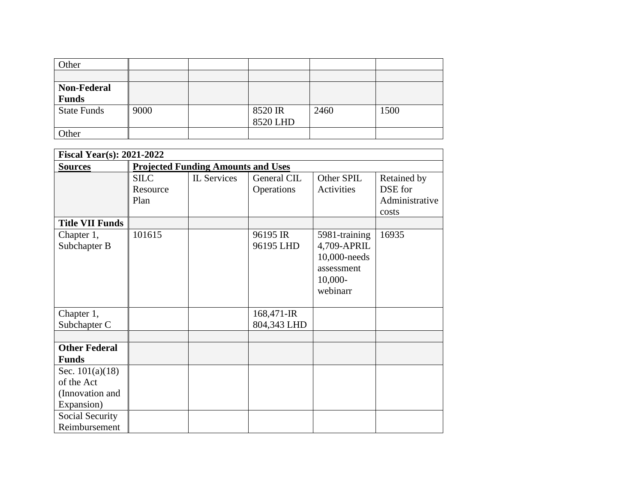| Other              |      |          |      |      |
|--------------------|------|----------|------|------|
|                    |      |          |      |      |
| <b>Non-Federal</b> |      |          |      |      |
| <b>Funds</b>       |      |          |      |      |
| <b>State Funds</b> | 9000 | 8520 IR  | 2460 | 1500 |
|                    |      | 8520 LHD |      |      |
| Other              |      |          |      |      |

| <b>Fiscal Year(s): 2021-2022</b>                                                    |                                 |                                           |                           |                                                                                     |                                                   |
|-------------------------------------------------------------------------------------|---------------------------------|-------------------------------------------|---------------------------|-------------------------------------------------------------------------------------|---------------------------------------------------|
| <b>Sources</b>                                                                      |                                 | <b>Projected Funding Amounts and Uses</b> |                           |                                                                                     |                                                   |
|                                                                                     | <b>SILC</b><br>Resource<br>Plan | <b>IL</b> Services                        | General CIL<br>Operations | Other SPIL<br>Activities                                                            | Retained by<br>DSE for<br>Administrative<br>costs |
| <b>Title VII Funds</b>                                                              |                                 |                                           |                           |                                                                                     |                                                   |
| Chapter 1,<br>Subchapter B                                                          | 101615                          |                                           | 96195 IR<br>96195 LHD     | 5981-training<br>4,709-APRIL<br>10,000-needs<br>assessment<br>$10,000-$<br>webinarr | 16935                                             |
| Chapter 1,<br>Subchapter C                                                          |                                 |                                           | 168,471-IR<br>804,343 LHD |                                                                                     |                                                   |
|                                                                                     |                                 |                                           |                           |                                                                                     |                                                   |
| <b>Other Federal</b><br><b>Funds</b>                                                |                                 |                                           |                           |                                                                                     |                                                   |
| Sec. $101(a)(18)$<br>of the Act<br>(Innovation and<br>Expansion)<br>Social Security |                                 |                                           |                           |                                                                                     |                                                   |
| Reimbursement                                                                       |                                 |                                           |                           |                                                                                     |                                                   |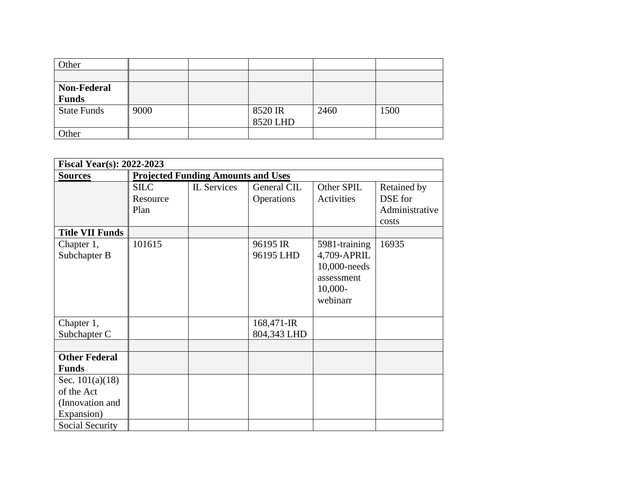| Other              |      |          |      |      |
|--------------------|------|----------|------|------|
|                    |      |          |      |      |
| <b>Non-Federal</b> |      |          |      |      |
| <b>Funds</b>       |      |          |      |      |
| <b>State Funds</b> | 9000 | 8520 IR  | 2460 | 1500 |
|                    |      | 8520 LHD |      |      |
| Other              |      |          |      |      |

| <b>Fiscal Year(s): 2022-2023</b> |             |                                           |             |               |                |
|----------------------------------|-------------|-------------------------------------------|-------------|---------------|----------------|
| <b>Sources</b>                   |             | <b>Projected Funding Amounts and Uses</b> |             |               |                |
|                                  | <b>SILC</b> | <b>IL</b> Services                        | General CIL | Other SPIL    | Retained by    |
|                                  | Resource    |                                           | Operations  | Activities    | DSE for        |
|                                  | Plan        |                                           |             |               | Administrative |
|                                  |             |                                           |             |               | costs          |
| <b>Title VII Funds</b>           |             |                                           |             |               |                |
| Chapter 1,                       | 101615      |                                           | 96195 IR    | 5981-training | 16935          |
| Subchapter B                     |             |                                           | 96195 LHD   | 4,709-APRIL   |                |
|                                  |             |                                           |             | 10,000-needs  |                |
|                                  |             |                                           |             | assessment    |                |
|                                  |             |                                           |             | $10,000-$     |                |
|                                  |             |                                           |             | webinarr      |                |
|                                  |             |                                           |             |               |                |
| Chapter 1,                       |             |                                           | 168,471-IR  |               |                |
| Subchapter C                     |             |                                           | 804,343 LHD |               |                |
|                                  |             |                                           |             |               |                |
| <b>Other Federal</b>             |             |                                           |             |               |                |
| <b>Funds</b>                     |             |                                           |             |               |                |
| Sec. $101(a)(18)$                |             |                                           |             |               |                |
| of the Act                       |             |                                           |             |               |                |
| (Innovation and                  |             |                                           |             |               |                |
| Expansion)                       |             |                                           |             |               |                |
| Social Security                  |             |                                           |             |               |                |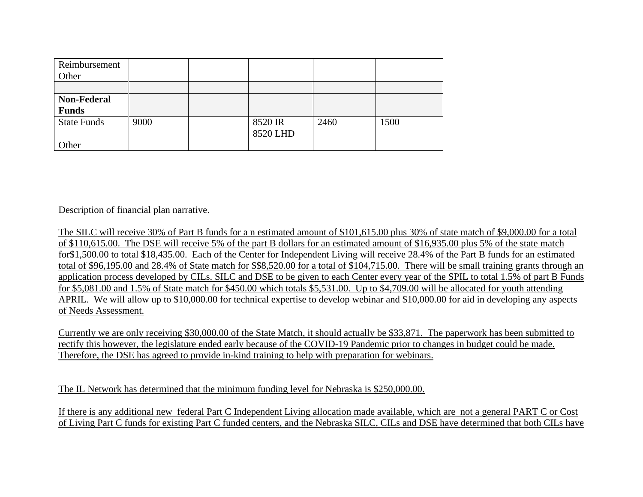| Reimbursement      |      |          |      |      |
|--------------------|------|----------|------|------|
| Other              |      |          |      |      |
|                    |      |          |      |      |
| <b>Non-Federal</b> |      |          |      |      |
| <b>Funds</b>       |      |          |      |      |
| <b>State Funds</b> | 9000 | 8520 IR  | 2460 | 1500 |
|                    |      | 8520 LHD |      |      |
| Other              |      |          |      |      |

Description of financial plan narrative.

The SILC will receive 30% of Part B funds for a n estimated amount of \$101,615.00 plus 30% of state match of \$9,000.00 for a total of \$110,615.00. The DSE will receive 5% of the part B dollars for an estimated amount of \$16,935.00 plus 5% of the state match for\$1,500.00 to total \$18,435.00. Each of the Center for Independent Living will receive 28.4% of the Part B funds for an estimated total of \$96,195.00 and 28.4% of State match for \$\$8,520.00 for a total of \$104,715.00. There will be small training grants through an application process developed by CILs. SILC and DSE to be given to each Center every year of the SPIL to total 1.5% of part B Funds for \$5,081.00 and 1.5% of State match for \$450.00 which totals \$5,531.00. Up to \$4,709.00 will be allocated for youth attending APRIL. We will allow up to \$10,000.00 for technical expertise to develop webinar and \$10,000.00 for aid in developing any aspects of Needs Assessment.

Currently we are only receiving \$30,000.00 of the State Match, it should actually be \$33,871. The paperwork has been submitted to rectify this however, the legislature ended early because of the COVID-19 Pandemic prior to changes in budget could be made. Therefore, the DSE has agreed to provide in-kind training to help with preparation for webinars.

The IL Network has determined that the minimum funding level for Nebraska is \$250,000.00.

If there is any additional new federal Part C Independent Living allocation made available, which are not a general PART C or Cost of Living Part C funds for existing Part C funded centers, and the Nebraska SILC, CILs and DSE have determined that both CILs have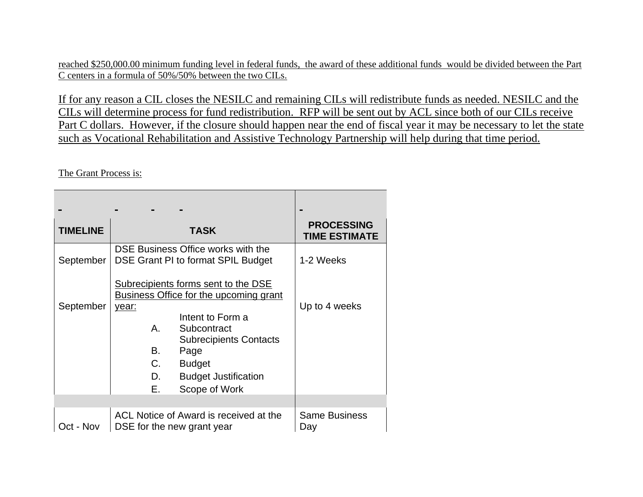reached \$250,000.00 minimum funding level in federal funds, the award of these additional funds would be divided between the Part C centers in a formula of 50%/50% between the two CILs.

If for any reason a CIL closes the NESILC and remaining CILs will redistribute funds as needed. NESILC and the CILs will determine process for fund redistribution. RFP will be sent out by ACL since both of our CILs receive Part C dollars. However, if the closure should happen near the end of fiscal year it may be necessary to let the state such as Vocational Rehabilitation and Assistive Technology Partnership will help during that time period.

The Grant Process is:

| <b>TIMELINE</b> | TASK                                                                                                                                                | <b>PROCESSING</b><br><b>TIME ESTIMATE</b> |
|-----------------|-----------------------------------------------------------------------------------------------------------------------------------------------------|-------------------------------------------|
| September       | DSE Business Office works with the<br>DSE Grant PI to format SPIL Budget                                                                            | 1-2 Weeks                                 |
| September       | Subrecipients forms sent to the DSE<br><b>Business Office for the upcoming grant</b><br>year:<br>Intent to Form a                                   | Up to 4 weeks                             |
|                 | Α.<br>Subcontract<br><b>Subrecipients Contacts</b><br>B.<br>Page<br>C.<br><b>Budget</b><br>D.<br><b>Budget Justification</b><br>Е.<br>Scope of Work |                                           |
|                 |                                                                                                                                                     |                                           |
| Oct - Nov       | ACL Notice of Award is received at the<br>DSE for the new grant year                                                                                | <b>Same Business</b><br>Day               |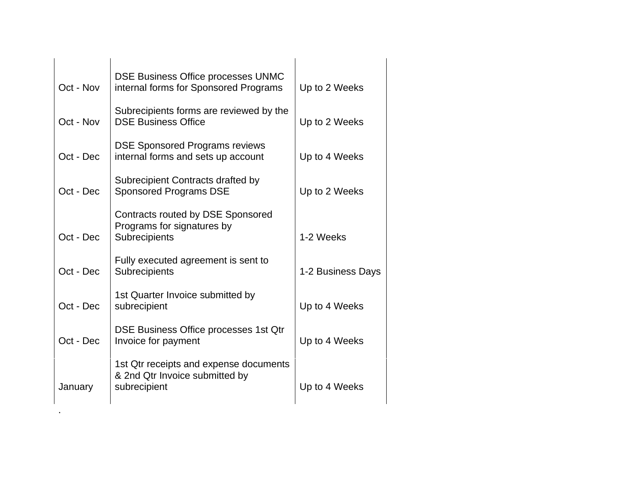| Oct - Nov | DSE Business Office processes UNMC<br>internal forms for Sponsored Programs              | Up to 2 Weeks     |
|-----------|------------------------------------------------------------------------------------------|-------------------|
| Oct - Nov | Subrecipients forms are reviewed by the<br><b>DSE Business Office</b>                    | Up to 2 Weeks     |
| Oct - Dec | <b>DSE Sponsored Programs reviews</b><br>internal forms and sets up account              | Up to 4 Weeks     |
| Oct - Dec | Subrecipient Contracts drafted by<br><b>Sponsored Programs DSE</b>                       | Up to 2 Weeks     |
| Oct - Dec | Contracts routed by DSE Sponsored<br>Programs for signatures by<br>Subrecipients         | 1-2 Weeks         |
| Oct - Dec | Fully executed agreement is sent to<br>Subrecipients                                     | 1-2 Business Days |
| Oct - Dec | 1st Quarter Invoice submitted by<br>subrecipient                                         | Up to 4 Weeks     |
| Oct - Dec | DSE Business Office processes 1st Qtr<br>Invoice for payment                             | Up to 4 Weeks     |
| January   | 1st Qtr receipts and expense documents<br>& 2nd Qtr Invoice submitted by<br>subrecipient | Up to 4 Weeks     |

.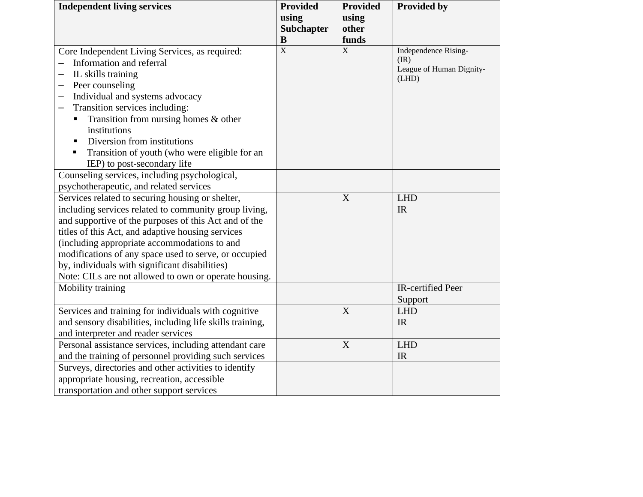| <b>Independent living services</b>                              | <b>Provided</b> | <b>Provided</b> | <b>Provided by</b>               |
|-----------------------------------------------------------------|-----------------|-----------------|----------------------------------|
|                                                                 | using           | using           |                                  |
|                                                                 | Subchapter      | other           |                                  |
|                                                                 | B               | funds           |                                  |
| Core Independent Living Services, as required:                  | $\mathbf X$     | $\bar{X}$       | Independence Rising-             |
| Information and referral                                        |                 |                 | (IR)<br>League of Human Dignity- |
| IL skills training<br>—                                         |                 |                 | (LHD)                            |
| Peer counseling<br>—                                            |                 |                 |                                  |
| Individual and systems advocacy<br>—                            |                 |                 |                                  |
| Transition services including:                                  |                 |                 |                                  |
| Transition from nursing homes $\&$ other                        |                 |                 |                                  |
| institutions                                                    |                 |                 |                                  |
| Diversion from institutions<br>$\blacksquare$                   |                 |                 |                                  |
| Transition of youth (who were eligible for an<br>$\blacksquare$ |                 |                 |                                  |
| IEP) to post-secondary life                                     |                 |                 |                                  |
| Counseling services, including psychological,                   |                 |                 |                                  |
| psychotherapeutic, and related services                         |                 |                 |                                  |
| Services related to securing housing or shelter,                |                 | X               | <b>LHD</b>                       |
| including services related to community group living,           |                 |                 | IR                               |
| and supportive of the purposes of this Act and of the           |                 |                 |                                  |
| titles of this Act, and adaptive housing services               |                 |                 |                                  |
| (including appropriate accommodations to and                    |                 |                 |                                  |
| modifications of any space used to serve, or occupied           |                 |                 |                                  |
| by, individuals with significant disabilities)                  |                 |                 |                                  |
| Note: CILs are not allowed to own or operate housing.           |                 |                 |                                  |
| Mobility training                                               |                 |                 | IR-certified Peer                |
|                                                                 |                 |                 | Support                          |
| Services and training for individuals with cognitive            |                 | X               | <b>LHD</b>                       |
| and sensory disabilities, including life skills training,       |                 |                 | IR                               |
| and interpreter and reader services                             |                 |                 |                                  |
| Personal assistance services, including attendant care          |                 | $\mathbf X$     | <b>LHD</b>                       |
| and the training of personnel providing such services           |                 |                 | <b>IR</b>                        |
| Surveys, directories and other activities to identify           |                 |                 |                                  |
| appropriate housing, recreation, accessible                     |                 |                 |                                  |
| transportation and other support services                       |                 |                 |                                  |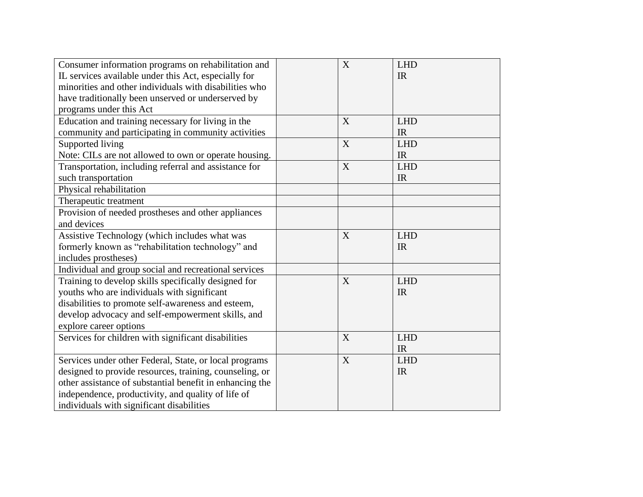| Consumer information programs on rehabilitation and<br>IL services available under this Act, especially for<br>minorities and other individuals with disabilities who<br>have traditionally been unserved or underserved by<br>programs under this Act                           | X | <b>LHD</b><br>IR        |
|----------------------------------------------------------------------------------------------------------------------------------------------------------------------------------------------------------------------------------------------------------------------------------|---|-------------------------|
| Education and training necessary for living in the<br>community and participating in community activities                                                                                                                                                                        | X | <b>LHD</b><br>IR        |
| Supported living<br>Note: CILs are not allowed to own or operate housing.                                                                                                                                                                                                        | X | <b>LHD</b><br>IR        |
| Transportation, including referral and assistance for<br>such transportation                                                                                                                                                                                                     | X | <b>LHD</b><br><b>IR</b> |
| Physical rehabilitation<br>Therapeutic treatment                                                                                                                                                                                                                                 |   |                         |
| Provision of needed prostheses and other appliances<br>and devices                                                                                                                                                                                                               |   |                         |
| Assistive Technology (which includes what was<br>formerly known as "rehabilitation technology" and<br>includes prostheses)                                                                                                                                                       | X | <b>LHD</b><br>IR        |
| Individual and group social and recreational services                                                                                                                                                                                                                            |   |                         |
| Training to develop skills specifically designed for<br>youths who are individuals with significant<br>disabilities to promote self-awareness and esteem,<br>develop advocacy and self-empowerment skills, and<br>explore career options                                         | X | <b>LHD</b><br><b>IR</b> |
| Services for children with significant disabilities                                                                                                                                                                                                                              | X | <b>LHD</b><br>IR        |
| Services under other Federal, State, or local programs<br>designed to provide resources, training, counseling, or<br>other assistance of substantial benefit in enhancing the<br>independence, productivity, and quality of life of<br>individuals with significant disabilities | X | <b>LHD</b><br>IR        |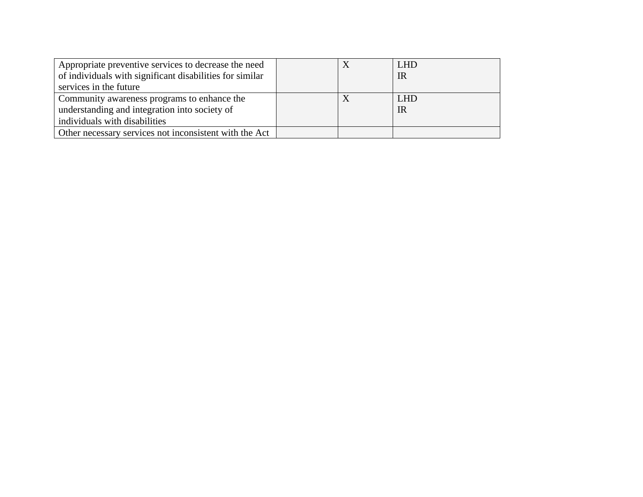| Appropriate preventive services to decrease the need     |  | <b>LHD</b> |
|----------------------------------------------------------|--|------------|
| of individuals with significant disabilities for similar |  | IR         |
| services in the future                                   |  |            |
| Community awareness programs to enhance the              |  | <b>LHD</b> |
| understanding and integration into society of            |  | IR         |
| individuals with disabilities                            |  |            |
| Other necessary services not inconsistent with the Act   |  |            |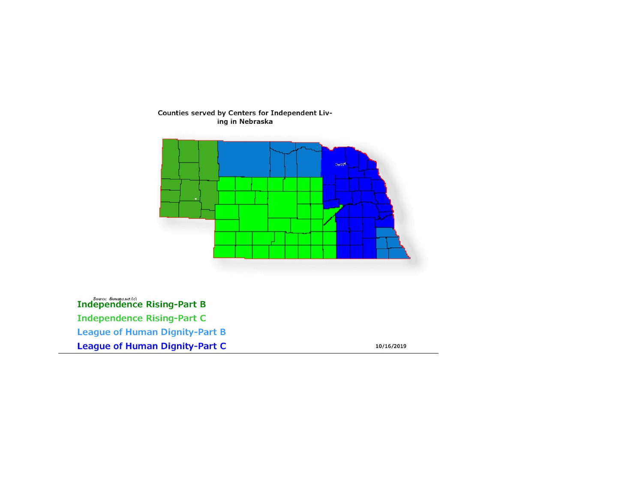# Counties served by Centers for Independent Liv-<br>ing in Nebraska



**Independence Rising-Part B Independence Rising-Part C League of Human Dignity-Part B League of Human Dignity-Part C** 

10/16/2019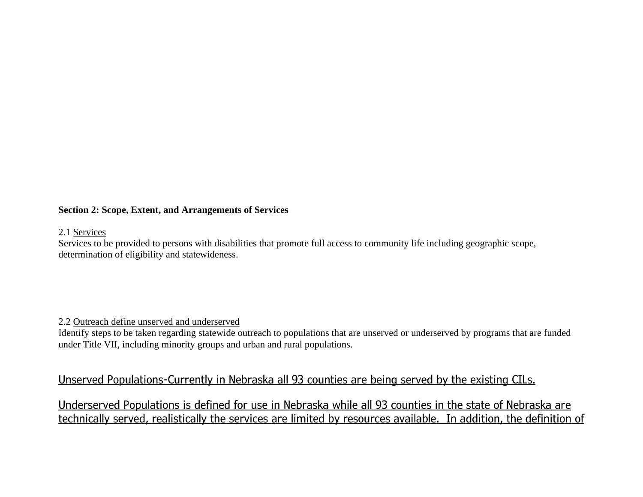#### **Section 2: Scope, Extent, and Arrangements of Services**

#### 2.1 Services

Services to be provided to persons with disabilities that promote full access to community life including geographic scope, determination of eligibility and statewideness.

#### 2.2 Outreach define unserved and underserved

Identify steps to be taken regarding statewide outreach to populations that are unserved or underserved by programs that are funded under Title VII, including minority groups and urban and rural populations.

# Unserved Populations-Currently in Nebraska all 93 counties are being served by the existing CILs.

Underserved Populations is defined for use in Nebraska while all 93 counties in the state of Nebraska are technically served, realistically the services are limited by resources available. In addition, the definition of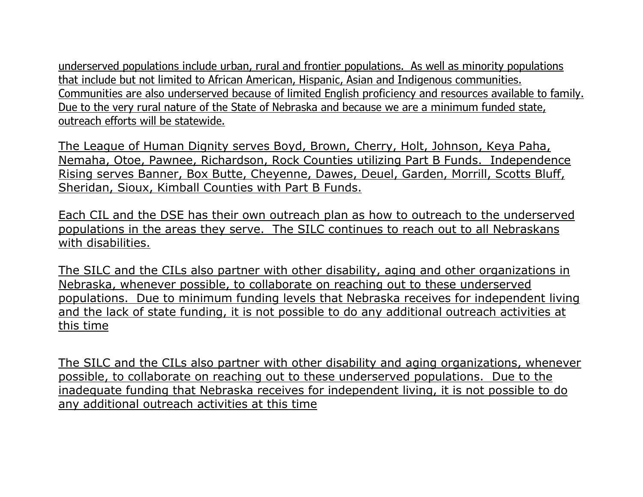underserved populations include urban, rural and frontier populations. As well as minority populations that include but not limited to African American, Hispanic, Asian and Indigenous communities. Communities are also underserved because of limited English proficiency and resources available to family. Due to the very rural nature of the State of Nebraska and because we are a minimum funded state, outreach efforts will be statewide.

The League of Human Dignity serves Boyd, Brown, Cherry, Holt, Johnson, Keya Paha, Nemaha, Otoe, Pawnee, Richardson, Rock Counties utilizing Part B Funds. Independence Rising serves Banner, Box Butte, Cheyenne, Dawes, Deuel, Garden, Morrill, Scotts Bluff, Sheridan, Sioux, Kimball Counties with Part B Funds.

Each CIL and the DSE has their own outreach plan as how to outreach to the underserved populations in the areas they serve. The SILC continues to reach out to all Nebraskans with disabilities.

The SILC and the CILs also partner with other disability, aging and other organizations in Nebraska, whenever possible, to collaborate on reaching out to these underserved populations. Due to minimum funding levels that Nebraska receives for independent living and the lack of state funding, it is not possible to do any additional outreach activities at this time

The SILC and the CILs also partner with other disability and aging organizations, whenever possible, to collaborate on reaching out to these underserved populations. Due to the inadequate funding that Nebraska receives for independent living, it is not possible to do any additional outreach activities at this time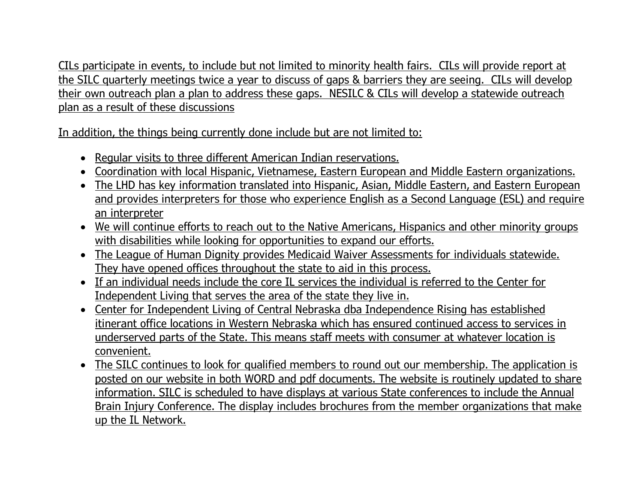CILs participate in events, to include but not limited to minority health fairs. CILs will provide report at the SILC quarterly meetings twice a year to discuss of gaps & barriers they are seeing. CILs will develop their own outreach plan a plan to address these gaps. NESILC & CILs will develop a statewide outreach plan as a result of these discussions

In addition, the things being currently done include but are not limited to:

- Regular visits to three different American Indian reservations.
- Coordination with local Hispanic, Vietnamese, Eastern European and Middle Eastern organizations.
- The LHD has key information translated into Hispanic, Asian, Middle Eastern, and Eastern European and provides interpreters for those who experience English as a Second Language (ESL) and require an interpreter
- We will continue efforts to reach out to the Native Americans, Hispanics and other minority groups with disabilities while looking for opportunities to expand our efforts.
- The League of Human Dignity provides Medicaid Waiver Assessments for individuals statewide. They have opened offices throughout the state to aid in this process.
- If an individual needs include the core IL services the individual is referred to the Center for Independent Living that serves the area of the state they live in.
- Center for Independent Living of Central Nebraska dba Independence Rising has established itinerant office locations in Western Nebraska which has ensured continued access to services in underserved parts of the State. This means staff meets with consumer at whatever location is convenient.
- The SILC continues to look for qualified members to round out our membership. The application is posted on our website in both WORD and pdf documents. The website is routinely updated to share information. SILC is scheduled to have displays at various State conferences to include the Annual Brain Injury Conference. The display includes brochures from the member organizations that make up the IL Network.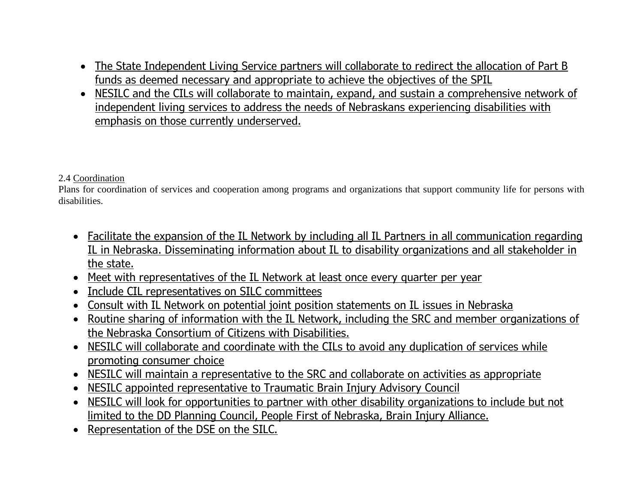- The State Independent Living Service partners will collaborate to redirect the allocation of Part B funds as deemed necessary and appropriate to achieve the objectives of the SPIL
- NESILC and the CILs will collaborate to maintain, expand, and sustain a comprehensive network of independent living services to address the needs of Nebraskans experiencing disabilities with emphasis on those currently underserved.

#### 2.4 Coordination

Plans for coordination of services and cooperation among programs and organizations that support community life for persons with disabilities.

- Facilitate the expansion of the IL Network by including all IL Partners in all communication regarding IL in Nebraska. Disseminating information about IL to disability organizations and all stakeholder in the state.
- Meet with representatives of the IL Network at least once every quarter per year
- Include CIL representatives on SILC committees
- Consult with IL Network on potential joint position statements on IL issues in Nebraska
- Routine sharing of information with the IL Network, including the SRC and member organizations of the Nebraska Consortium of Citizens with Disabilities.
- NESILC will collaborate and coordinate with the CILs to avoid any duplication of services while promoting consumer choice
- NESILC will maintain a representative to the SRC and collaborate on activities as appropriate
- NESILC appointed representative to Traumatic Brain Injury Advisory Council
- NESILC will look for opportunities to partner with other disability organizations to include but not limited to the DD Planning Council, People First of Nebraska, Brain Injury Alliance.
- Representation of the DSE on the SILC.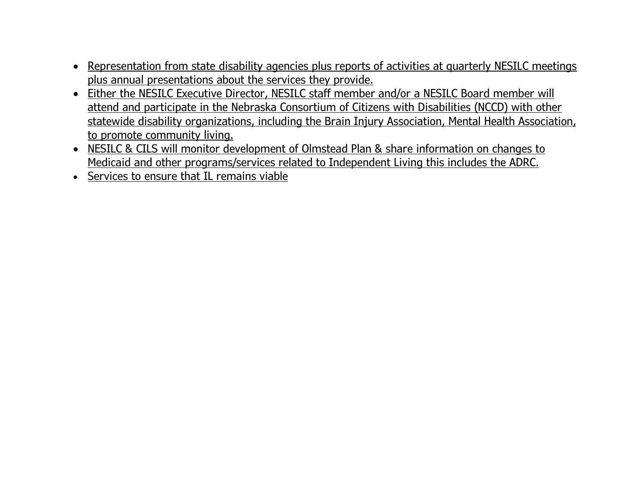- Representation from state disability agencies plus reports of activities at quarterly NESILC meetings plus annual presentations about the services they provide.
- Either the NESILC Executive Director, NESILC staff member and/or a NESILC Board member will attend and participate in the Nebraska Consortium of Citizens with Disabilities (NCCD) with other statewide disability organizations, including the Brain Injury Association, Mental Health Association, to promote community living.
- NESILC & CILS will monitor development of Olmstead Plan & share information on changes to Medicaid and other programs/services related to Independent Living this includes the ADRC.
- Services to ensure that IL remains viable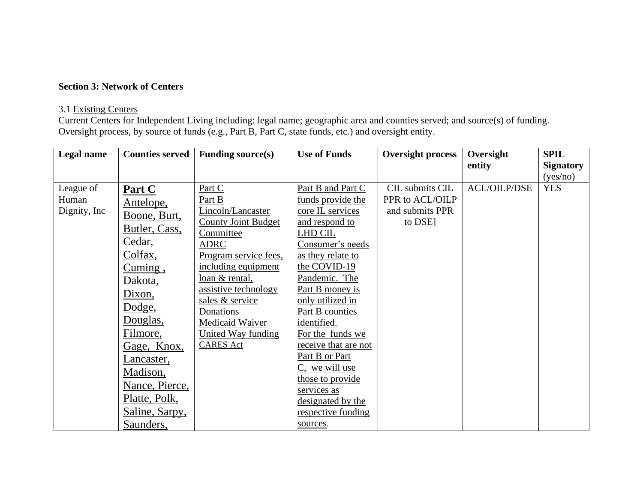#### **Section 3: Network of Centers**

#### 3.1 Existing Centers

Current Centers for Independent Living including: legal name; geographic area and counties served; and source(s) of funding. Oversight process, by source of funds (e.g., Part B, Part C, state funds, etc.) and oversight entity.

| Legal name    | <b>Counties served</b> | <b>Funding source(s)</b>   | <b>Use of Funds</b>  | <b>Oversight process</b> | Oversight           | <b>SPIL</b>      |
|---------------|------------------------|----------------------------|----------------------|--------------------------|---------------------|------------------|
|               |                        |                            |                      |                          | entity              | <b>Signatory</b> |
|               |                        |                            |                      |                          |                     | (yes/no)         |
| League of     | Part C                 | Part C                     | Part B and Part C    | CIL submits CIL          | <b>ACL/OILP/DSE</b> | <b>YES</b>       |
| Human         | Antelope,              | Part B                     | funds provide the    | PPR to ACL/OILP          |                     |                  |
| Dignity, Inc. | Boone, Burt,           | Lincoln/Lancaster          | core IL services     | and submits PPR          |                     |                  |
|               | Butler, Cass,          | <b>County Joint Budget</b> | and respond to       | to DSE]                  |                     |                  |
|               |                        | Committee                  | LHD CIL              |                          |                     |                  |
|               | Cedar,                 | <b>ADRC</b>                | Consumer's needs     |                          |                     |                  |
|               | Colfax,                | Program service fees,      | as they relate to    |                          |                     |                  |
|               | Cuming,                | including equipment        | the COVID-19         |                          |                     |                  |
|               | Dakota,                | loan & rental,             | Pandemic. The        |                          |                     |                  |
|               | Dixon,                 | assistive technology       | Part B money is      |                          |                     |                  |
|               | Dodge,                 | sales & service            | only utilized in     |                          |                     |                  |
|               |                        | Donations                  | Part B counties      |                          |                     |                  |
|               | Douglas,               | Medicaid Waiver            | identified.          |                          |                     |                  |
|               | Filmore,               | United Way funding         | For the funds we     |                          |                     |                  |
|               | Gage, Knox,            | <b>CARES</b> Act           | receive that are not |                          |                     |                  |
|               | Lancaster,             |                            | Part B or Part       |                          |                     |                  |
|               | Madison,               |                            | C, we will use       |                          |                     |                  |
|               | Nance, Pierce,         |                            | those to provide     |                          |                     |                  |
|               | Platte, Polk,          |                            | services as          |                          |                     |                  |
|               |                        |                            | designated by the    |                          |                     |                  |
|               | Saline, Sarpy,         |                            | respective funding   |                          |                     |                  |
|               | Saunders,              |                            | sources.             |                          |                     |                  |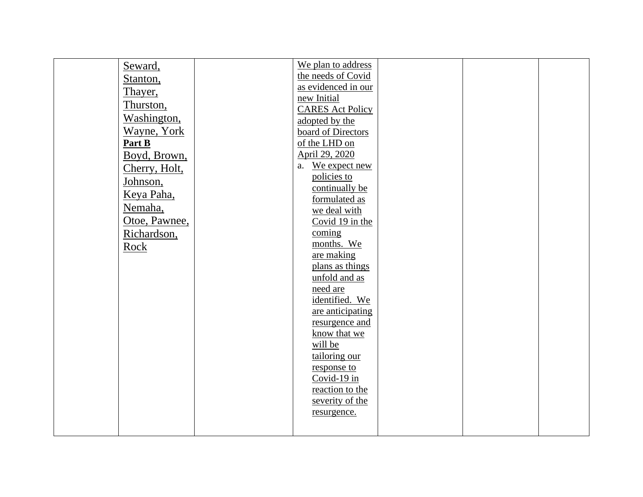| Seward,       | We plan to address       |  |  |
|---------------|--------------------------|--|--|
| Stanton,      | the needs of Covid       |  |  |
| Thayer,       | as evidenced in our      |  |  |
| Thurston,     | new Initial              |  |  |
|               | <b>CARES Act Policy</b>  |  |  |
| Washington,   | adopted by the           |  |  |
| Wayne, York   | board of Directors       |  |  |
| Part B        | of the LHD on            |  |  |
| Boyd, Brown,  | April 29, 2020           |  |  |
| Cherry, Holt, | a. We expect new         |  |  |
| Johnson,      | policies to              |  |  |
| Keya Paha,    | continually be           |  |  |
|               | formulated as            |  |  |
| Nemaha,       | we deal with             |  |  |
| Otoe, Pawnee, | Covid 19 in the          |  |  |
| Richardson,   | coming                   |  |  |
| Rock          | months. We               |  |  |
|               | are making               |  |  |
|               | plans as things          |  |  |
|               | unfold and as            |  |  |
|               | need are                 |  |  |
|               | identified. We           |  |  |
|               | are anticipating         |  |  |
|               | resurgence and           |  |  |
|               | know that we             |  |  |
|               | will be<br>tailoring our |  |  |
|               | response to              |  |  |
|               | Covid-19 in              |  |  |
|               | reaction to the          |  |  |
|               | severity of the          |  |  |
|               | resurgence.              |  |  |
|               |                          |  |  |
|               |                          |  |  |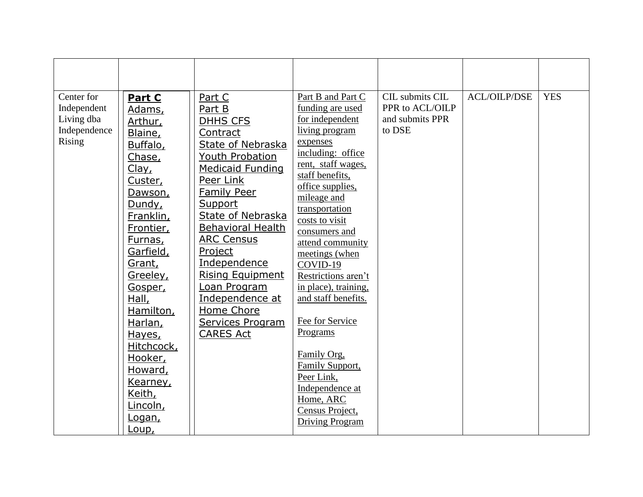| Center for<br>Independent<br>Living dba<br>Independence<br><b>Rising</b> | Part C<br>Adams,<br>Arthur,<br>Blaine,<br>Buffalo,<br>Chase,<br>Clay <sub>L</sub><br>Custer,<br>Dawson,<br>Dundy,<br>Franklin,<br>Frontier,<br>Furnas,<br>Garfield,<br>Grant,<br>Greeley, | Part C<br>Part B<br><b>DHHS CFS</b><br>Contract<br><b>State of Nebraska</b><br>Youth Probation<br><b>Medicaid Funding</b><br>Peer Link<br><b>Family Peer</b><br>Support<br><b>State of Nebraska</b><br><b>Behavioral Health</b><br><b>ARC Census</b><br>Project<br>Independence<br><b>Rising Equipment</b> | Part B and Part C<br>funding are used<br>for independent<br>living program<br>expenses<br>including: office<br>rent, staff wages,<br>staff benefits,<br>office supplies,<br>mileage and<br>transportation<br>costs to visit<br>consumers and<br>attend community<br>meetings (when<br>COVID-19<br>Restrictions aren't | CIL submits CIL<br>PPR to ACL/OILP<br>and submits PPR<br>to DSE | <b>ACL/OILP/DSE</b> | <b>YES</b> |
|--------------------------------------------------------------------------|-------------------------------------------------------------------------------------------------------------------------------------------------------------------------------------------|------------------------------------------------------------------------------------------------------------------------------------------------------------------------------------------------------------------------------------------------------------------------------------------------------------|-----------------------------------------------------------------------------------------------------------------------------------------------------------------------------------------------------------------------------------------------------------------------------------------------------------------------|-----------------------------------------------------------------|---------------------|------------|
|                                                                          |                                                                                                                                                                                           |                                                                                                                                                                                                                                                                                                            |                                                                                                                                                                                                                                                                                                                       |                                                                 |                     |            |
|                                                                          |                                                                                                                                                                                           |                                                                                                                                                                                                                                                                                                            |                                                                                                                                                                                                                                                                                                                       |                                                                 |                     |            |
|                                                                          |                                                                                                                                                                                           |                                                                                                                                                                                                                                                                                                            |                                                                                                                                                                                                                                                                                                                       |                                                                 |                     |            |
|                                                                          |                                                                                                                                                                                           |                                                                                                                                                                                                                                                                                                            |                                                                                                                                                                                                                                                                                                                       |                                                                 |                     |            |
|                                                                          |                                                                                                                                                                                           |                                                                                                                                                                                                                                                                                                            |                                                                                                                                                                                                                                                                                                                       |                                                                 |                     |            |
|                                                                          |                                                                                                                                                                                           |                                                                                                                                                                                                                                                                                                            |                                                                                                                                                                                                                                                                                                                       |                                                                 |                     |            |
|                                                                          |                                                                                                                                                                                           |                                                                                                                                                                                                                                                                                                            |                                                                                                                                                                                                                                                                                                                       |                                                                 |                     |            |
|                                                                          |                                                                                                                                                                                           |                                                                                                                                                                                                                                                                                                            |                                                                                                                                                                                                                                                                                                                       |                                                                 |                     |            |
|                                                                          | Gosper,                                                                                                                                                                                   | Loan Program                                                                                                                                                                                                                                                                                               | in place), training,                                                                                                                                                                                                                                                                                                  |                                                                 |                     |            |
|                                                                          | Hall,                                                                                                                                                                                     | Independence at                                                                                                                                                                                                                                                                                            | and staff benefits.                                                                                                                                                                                                                                                                                                   |                                                                 |                     |            |
|                                                                          | Hamilton,                                                                                                                                                                                 | Home Chore                                                                                                                                                                                                                                                                                                 |                                                                                                                                                                                                                                                                                                                       |                                                                 |                     |            |
|                                                                          | Harlan,                                                                                                                                                                                   | Services Program                                                                                                                                                                                                                                                                                           | Fee for Service<br>Programs                                                                                                                                                                                                                                                                                           |                                                                 |                     |            |
|                                                                          | Hayes,<br>Hitchcock,                                                                                                                                                                      | <b>CARES Act</b>                                                                                                                                                                                                                                                                                           |                                                                                                                                                                                                                                                                                                                       |                                                                 |                     |            |
|                                                                          | Hooker,                                                                                                                                                                                   |                                                                                                                                                                                                                                                                                                            | Family Org,                                                                                                                                                                                                                                                                                                           |                                                                 |                     |            |
|                                                                          | Howard,                                                                                                                                                                                   |                                                                                                                                                                                                                                                                                                            | Family Support,                                                                                                                                                                                                                                                                                                       |                                                                 |                     |            |
|                                                                          | Kearney,                                                                                                                                                                                  |                                                                                                                                                                                                                                                                                                            | Peer Link,<br>Independence at                                                                                                                                                                                                                                                                                         |                                                                 |                     |            |
|                                                                          | Keith,                                                                                                                                                                                    |                                                                                                                                                                                                                                                                                                            | Home, ARC                                                                                                                                                                                                                                                                                                             |                                                                 |                     |            |
|                                                                          | Lincoln,                                                                                                                                                                                  |                                                                                                                                                                                                                                                                                                            | Census Project,                                                                                                                                                                                                                                                                                                       |                                                                 |                     |            |
|                                                                          | Logan,<br>Loup,                                                                                                                                                                           |                                                                                                                                                                                                                                                                                                            | <b>Driving Program</b>                                                                                                                                                                                                                                                                                                |                                                                 |                     |            |
|                                                                          |                                                                                                                                                                                           |                                                                                                                                                                                                                                                                                                            |                                                                                                                                                                                                                                                                                                                       |                                                                 |                     |            |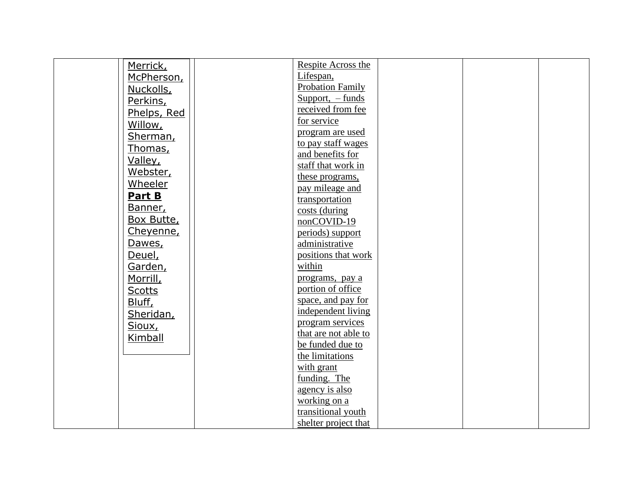| Merrick,      | Respite Across the                   |  |  |
|---------------|--------------------------------------|--|--|
| McPherson,    | Lifespan,                            |  |  |
| Nuckolls,     | <b>Probation Family</b>              |  |  |
| Perkins,      | Support, $-$ funds                   |  |  |
| Phelps, Red   | received from fee                    |  |  |
| Willow,       | for service                          |  |  |
|               | program are used                     |  |  |
| Sherman,      | to pay staff wages                   |  |  |
| Thomas,       | and benefits for                     |  |  |
| Valley,       | staff that work in                   |  |  |
| Webster,      | these programs,                      |  |  |
| Wheeler       | pay mileage and                      |  |  |
| Part B        | transportation                       |  |  |
| Banner,       | costs (during                        |  |  |
| Box Butte,    | nonCOVID-19                          |  |  |
| Cheyenne,     | periods) support                     |  |  |
| Dawes,        | administrative                       |  |  |
| Deuel,        | positions that work                  |  |  |
| Garden,       | within                               |  |  |
|               |                                      |  |  |
| Morrill,      | programs, pay a<br>portion of office |  |  |
| <b>Scotts</b> |                                      |  |  |
| Bluff,        | space, and pay for                   |  |  |
| Sheridan,     | independent living                   |  |  |
| Sioux,        | program services                     |  |  |
| Kimball       | that are not able to                 |  |  |
|               | be funded due to                     |  |  |
|               | the limitations                      |  |  |
|               | with grant                           |  |  |
|               | funding. The                         |  |  |
|               | agency is also                       |  |  |
|               | working on a                         |  |  |
|               | transitional youth                   |  |  |
|               | shelter project that                 |  |  |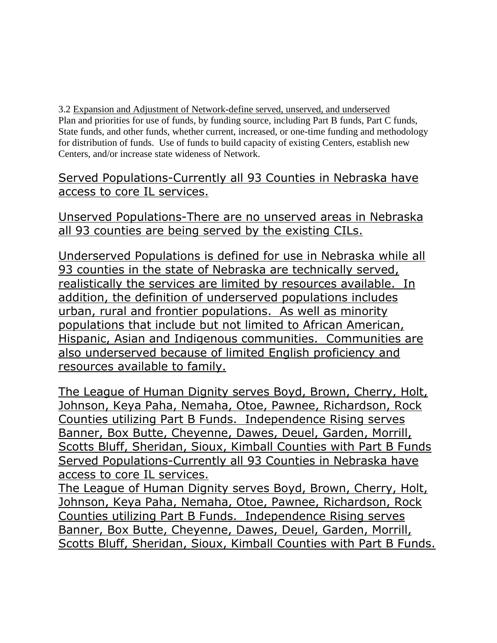3.2 Expansion and Adjustment of Network-define served, unserved, and underserved Plan and priorities for use of funds, by funding source, including Part B funds, Part C funds, State funds, and other funds, whether current, increased, or one-time funding and methodology for distribution of funds. Use of funds to build capacity of existing Centers, establish new Centers, and/or increase state wideness of Network.

Served Populations-Currently all 93 Counties in Nebraska have access to core IL services.

Unserved Populations-There are no unserved areas in Nebraska all 93 counties are being served by the existing CILs.

Underserved Populations is defined for use in Nebraska while all 93 counties in the state of Nebraska are technically served, realistically the services are limited by resources available. In addition, the definition of underserved populations includes urban, rural and frontier populations. As well as minority populations that include but not limited to African American, Hispanic, Asian and Indigenous communities. Communities are also underserved because of limited English proficiency and resources available to family.

The League of Human Dignity serves Boyd, Brown, Cherry, Holt, Johnson, Keya Paha, Nemaha, Otoe, Pawnee, Richardson, Rock Counties utilizing Part B Funds. Independence Rising serves Banner, Box Butte, Cheyenne, Dawes, Deuel, Garden, Morrill, Scotts Bluff, Sheridan, Sioux, Kimball Counties with Part B Funds Served Populations-Currently all 93 Counties in Nebraska have access to core IL services.

The League of Human Dignity serves Boyd, Brown, Cherry, Holt, Johnson, Keya Paha, Nemaha, Otoe, Pawnee, Richardson, Rock Counties utilizing Part B Funds. Independence Rising serves Banner, Box Butte, Cheyenne, Dawes, Deuel, Garden, Morrill, Scotts Bluff, Sheridan, Sioux, Kimball Counties with Part B Funds.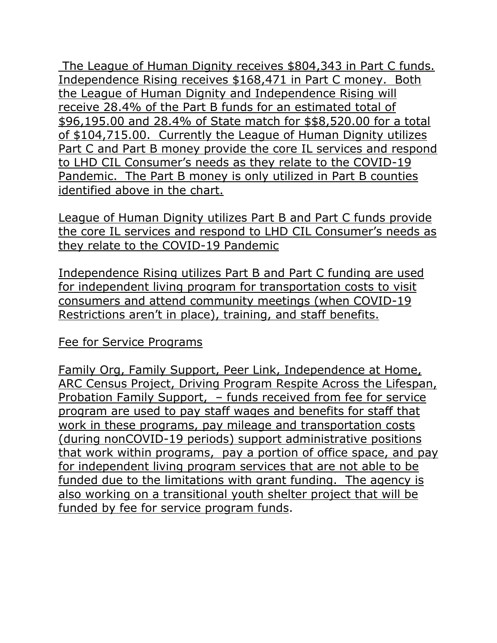The League of Human Dignity receives \$804,343 in Part C funds. Independence Rising receives \$168,471 in Part C money. Both the League of Human Dignity and Independence Rising will receive 28.4% of the Part B funds for an estimated total of \$96,195.00 and 28.4% of State match for \$\$8,520.00 for a total of \$104,715.00. Currently the League of Human Dignity utilizes Part C and Part B money provide the core IL services and respond to LHD CIL Consumer's needs as they relate to the COVID-19 Pandemic. The Part B money is only utilized in Part B counties identified above in the chart.

League of Human Dignity utilizes Part B and Part C funds provide the core IL services and respond to LHD CIL Consumer's needs as they relate to the COVID-19 Pandemic

Independence Rising utilizes Part B and Part C funding are used for independent living program for transportation costs to visit consumers and attend community meetings (when COVID-19 Restrictions aren't in place), training, and staff benefits.

# Fee for Service Programs

Family Org, Family Support, Peer Link, Independence at Home, ARC Census Project, Driving Program Respite Across the Lifespan, Probation Family Support, – funds received from fee for service program are used to pay staff wages and benefits for staff that work in these programs, pay mileage and transportation costs (during nonCOVID-19 periods) support administrative positions that work within programs, pay a portion of office space, and pay for independent living program services that are not able to be funded due to the limitations with grant funding. The agency is also working on a transitional youth shelter project that will be funded by fee for service program funds.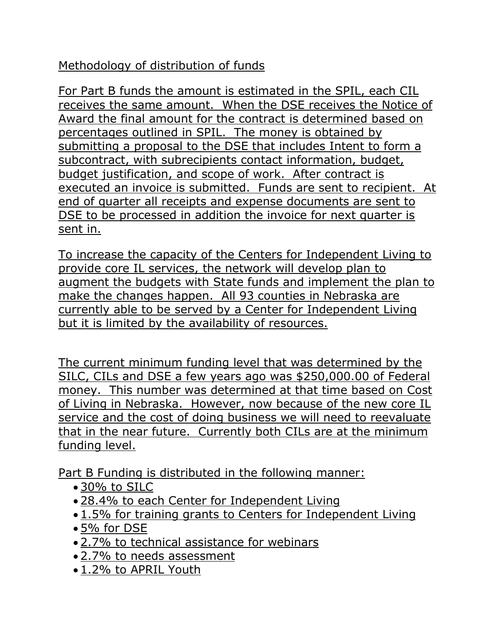# Methodology of distribution of funds

For Part B funds the amount is estimated in the SPIL, each CIL receives the same amount. When the DSE receives the Notice of Award the final amount for the contract is determined based on percentages outlined in SPIL. The money is obtained by submitting a proposal to the DSE that includes Intent to form a subcontract, with subrecipients contact information, budget, budget justification, and scope of work. After contract is executed an invoice is submitted. Funds are sent to recipient. At end of quarter all receipts and expense documents are sent to DSE to be processed in addition the invoice for next quarter is sent in.

To increase the capacity of the Centers for Independent Living to provide core IL services, the network will develop plan to augment the budgets with State funds and implement the plan to make the changes happen. All 93 counties in Nebraska are currently able to be served by a Center for Independent Living but it is limited by the availability of resources.

The current minimum funding level that was determined by the SILC, CILs and DSE a few years ago was \$250,000.00 of Federal money. This number was determined at that time based on Cost of Living in Nebraska. However, now because of the new core IL service and the cost of doing business we will need to reevaluate that in the near future. Currently both CILs are at the minimum funding level.

Part B Funding is distributed in the following manner:

- 30% to SILC
- 28.4% to each Center for Independent Living
- 1.5% for training grants to Centers for Independent Living
- 5% for DSE
- 2.7% to technical assistance for webinars
- 2.7% to needs assessment
- 1.2% to APRIL Youth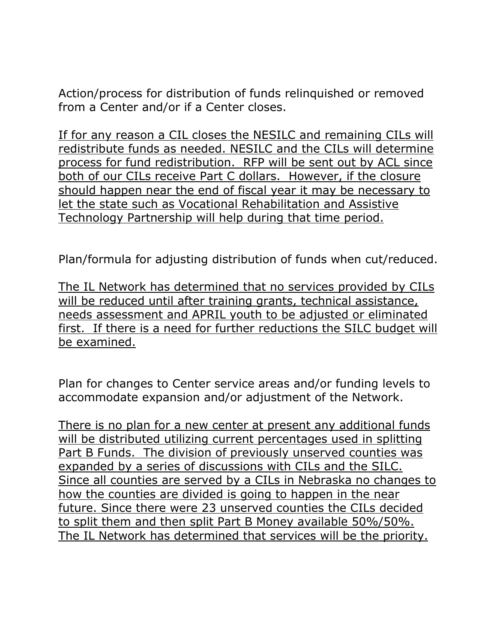Action/process for distribution of funds relinquished or removed from a Center and/or if a Center closes.

If for any reason a CIL closes the NESILC and remaining CILs will redistribute funds as needed. NESILC and the CILs will determine process for fund redistribution. RFP will be sent out by ACL since both of our CILs receive Part C dollars. However, if the closure should happen near the end of fiscal year it may be necessary to let the state such as Vocational Rehabilitation and Assistive Technology Partnership will help during that time period.

Plan/formula for adjusting distribution of funds when cut/reduced.

The IL Network has determined that no services provided by CILs will be reduced until after training grants, technical assistance, needs assessment and APRIL youth to be adjusted or eliminated first. If there is a need for further reductions the SILC budget will be examined.

Plan for changes to Center service areas and/or funding levels to accommodate expansion and/or adjustment of the Network.

There is no plan for a new center at present any additional funds will be distributed utilizing current percentages used in splitting Part B Funds. The division of previously unserved counties was expanded by a series of discussions with CILs and the SILC. Since all counties are served by a CILs in Nebraska no changes to how the counties are divided is going to happen in the near future. Since there were 23 unserved counties the CILs decided to split them and then split Part B Money available 50%/50%. The IL Network has determined that services will be the priority.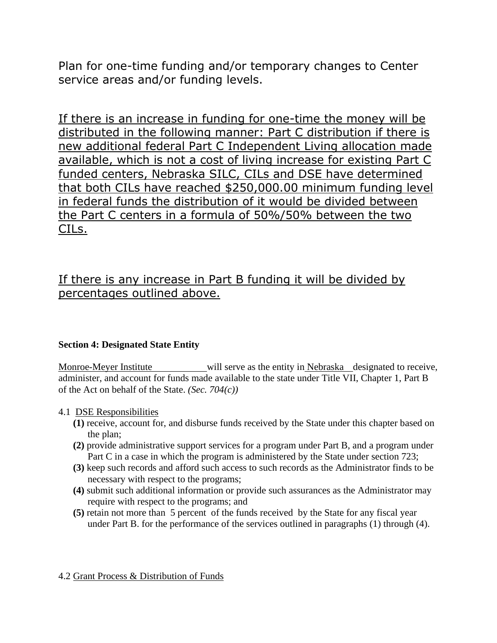Plan for one-time funding and/or temporary changes to Center service areas and/or funding levels.

If there is an increase in funding for one-time the money will be distributed in the following manner: Part C distribution if there is new additional federal Part C Independent Living allocation made available, which is not a cost of living increase for existing Part C funded centers, Nebraska SILC, CILs and DSE have determined that both CILs have reached \$250,000.00 minimum funding level in federal funds the distribution of it would be divided between the Part C centers in a formula of 50%/50% between the two CILs.

# If there is any increase in Part B funding it will be divided by percentages outlined above.

#### **Section 4: Designated State Entity**

Monroe-Meyer Institute will serve as the entity in Nebraska designated to receive, administer, and account for funds made available to the state under Title VII, Chapter 1, Part B of the Act on behalf of the State. *(Sec. 704(c))*

#### 4.1 DSE Responsibilities

- **(1)** receive, account for, and disburse funds received by the State under this chapter based on the plan;
- **(2)** provide administrative support services for a program under Part B, and a program under Part C in a case in which the program is administered by the State under section 723;
- **(3)** keep such records and afford such access to such records as the Administrator finds to be necessary with respect to the programs;
- **(4)** submit such additional information or provide such assurances as the Administrator may require with respect to the programs; and
- **(5)** retain not more than 5 percent of the funds received by the State for any fiscal year under Part B. for the performance of the services outlined in paragraphs (1) through (4).

#### 4.2 Grant Process & Distribution of Funds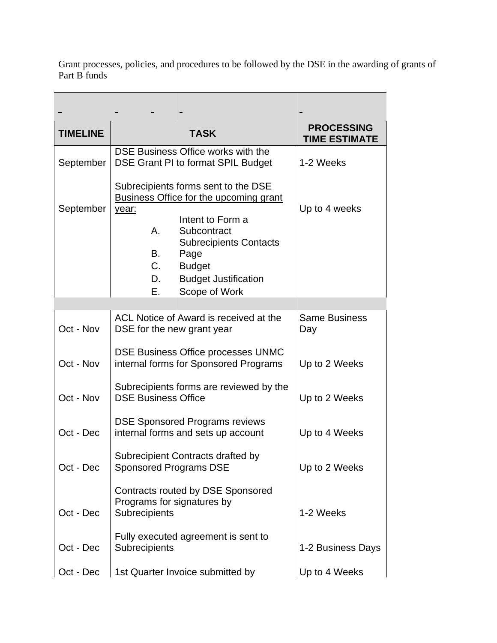Grant processes, policies, and procedures to be followed by the DSE in the awarding of grants of Part B funds

| <b>TIMELINE</b> | <b>TASK</b>                                                                                                                                                                                                                                       | <b>PROCESSING</b><br><b>TIME ESTIMATE</b> |
|-----------------|---------------------------------------------------------------------------------------------------------------------------------------------------------------------------------------------------------------------------------------------------|-------------------------------------------|
| September       | DSE Business Office works with the<br>DSE Grant PI to format SPIL Budget                                                                                                                                                                          | 1-2 Weeks                                 |
| September       | Subrecipients forms sent to the DSE<br><b>Business Office for the upcoming grant</b><br>year:<br>Intent to Form a<br>Α.<br>Subcontract<br><b>Subrecipients Contacts</b><br>В.<br>Page<br>C.<br><b>Budget</b><br>D.<br><b>Budget Justification</b> | Up to 4 weeks                             |
|                 | Е.<br>Scope of Work                                                                                                                                                                                                                               |                                           |
| Oct - Nov       | ACL Notice of Award is received at the<br>DSE for the new grant year                                                                                                                                                                              | <b>Same Business</b><br>Day               |
| Oct - Nov       | DSE Business Office processes UNMC<br>internal forms for Sponsored Programs                                                                                                                                                                       | Up to 2 Weeks                             |
| Oct - Nov       | Subrecipients forms are reviewed by the<br><b>DSE Business Office</b>                                                                                                                                                                             | Up to 2 Weeks                             |
| Oct - Dec       | <b>DSE Sponsored Programs reviews</b><br>internal forms and sets up account                                                                                                                                                                       | Up to 4 Weeks                             |
| Oct - Dec       | Subrecipient Contracts drafted by<br><b>Sponsored Programs DSE</b>                                                                                                                                                                                | Up to 2 Weeks                             |
| Oct - Dec       | Contracts routed by DSE Sponsored<br>Programs for signatures by<br>Subrecipients                                                                                                                                                                  | 1-2 Weeks                                 |
| Oct - Dec       | Fully executed agreement is sent to<br>Subrecipients                                                                                                                                                                                              | 1-2 Business Days                         |
| Oct - Dec       | 1st Quarter Invoice submitted by                                                                                                                                                                                                                  | Up to 4 Weeks                             |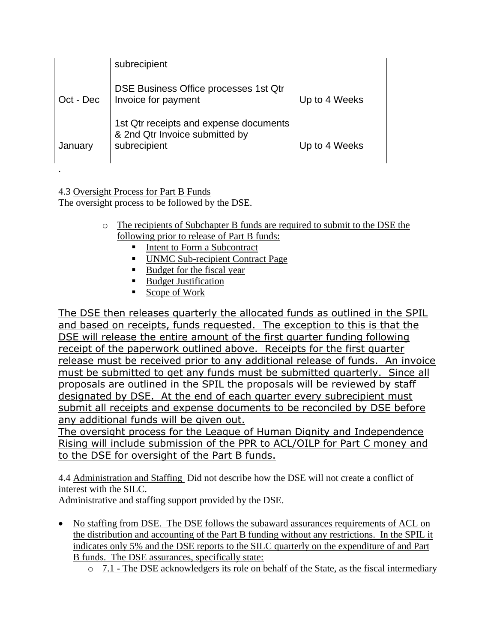|           | subrecipient                                                                             |               |
|-----------|------------------------------------------------------------------------------------------|---------------|
| Oct - Dec | DSE Business Office processes 1st Qtr<br>Invoice for payment                             | Up to 4 Weeks |
| January   | 1st Qtr receipts and expense documents<br>& 2nd Qtr Invoice submitted by<br>subrecipient | Up to 4 Weeks |

4.3 Oversight Process for Part B Funds The oversight process to be followed by the DSE.

.

- o The recipients of Subchapter B funds are required to submit to the DSE the following prior to release of Part B funds:
	- Intent to Form a Subcontract
	- UNMC Sub-recipient Contract Page
	- Budget for the fiscal year
	- Budget Justification
	- Scope of Work

The DSE then releases quarterly the allocated funds as outlined in the SPIL and based on receipts, funds requested. The exception to this is that the DSE will release the entire amount of the first quarter funding following receipt of the paperwork outlined above. Receipts for the first quarter release must be received prior to any additional release of funds. An invoice must be submitted to get any funds must be submitted quarterly. Since all proposals are outlined in the SPIL the proposals will be reviewed by staff designated by DSE. At the end of each quarter every subrecipient must submit all receipts and expense documents to be reconciled by DSE before any additional funds will be given out.

The oversight process for the League of Human Dignity and Independence Rising will include submission of the PPR to ACL/OILP for Part C money and to the DSE for oversight of the Part B funds.

4.4 Administration and Staffing Did not describe how the DSE will not create a conflict of interest with the SILC.

Administrative and staffing support provided by the DSE.

- No staffing from DSE. The DSE follows the subaward assurances requirements of ACL on the distribution and accounting of the Part B funding without any restrictions. In the SPIL it indicates only 5% and the DSE reports to the SILC quarterly on the expenditure of and Part B funds. The DSE assurances, specifically state:
	- o 7.1 The DSE acknowledgers its role on behalf of the State, as the fiscal intermediary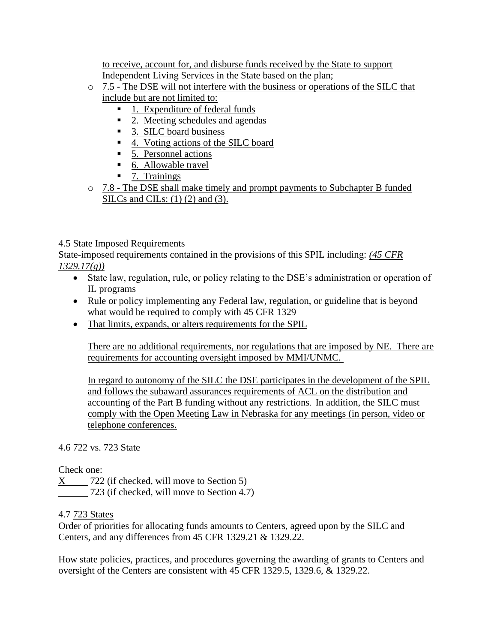to receive, account for, and disburse funds received by the State to support Independent Living Services in the State based on the plan;

- o 7.5 The DSE will not interfere with the business or operations of the SILC that include but are not limited to:
	- 1. Expenditure of federal funds
	- 2. Meeting schedules and agendas
	- 3. SILC board business
	- 4. Voting actions of the SILC board
	- 5. Personnel actions
	- 6. Allowable travel
	- 7. Trainings
- o 7.8 The DSE shall make timely and prompt payments to Subchapter B funded SILCs and CILs: (1) (2) and (3).

#### 4.5 State Imposed Requirements

State-imposed requirements contained in the provisions of this SPIL including: *(45 CFR 1329.17(g))*

- State law, regulation, rule, or policy relating to the DSE's administration or operation of IL programs
- Rule or policy implementing any Federal law, regulation, or guideline that is beyond what would be required to comply with 45 CFR 1329
- That limits, expands, or alters requirements for the SPIL

There are no additional requirements, nor regulations that are imposed by NE. There are requirements for accounting oversight imposed by MMI/UNMC.

In regard to autonomy of the SILC the DSE participates in the development of the SPIL and follows the subaward assurances requirements of ACL on the distribution and accounting of the Part B funding without any restrictions. In addition, the SILC must comply with the Open Meeting Law in Nebraska for any meetings (in person, video or telephone conferences.

#### 4.6 722 vs. 723 State

Check one:

X 722 (if checked, will move to Section 5) 723 (if checked, will move to Section 4.7)

#### 4.7 723 States

Order of priorities for allocating funds amounts to Centers, agreed upon by the SILC and Centers, and any differences from 45 CFR 1329.21 & 1329.22.

How state policies, practices, and procedures governing the awarding of grants to Centers and oversight of the Centers are consistent with 45 CFR 1329.5, 1329.6, & 1329.22.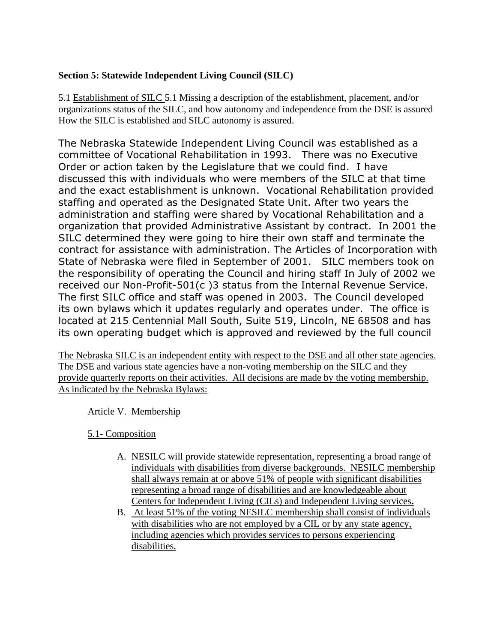#### **Section 5: Statewide Independent Living Council (SILC)**

5.1 Establishment of SILC 5.1 Missing a description of the establishment, placement, and/or organizations status of the SILC, and how autonomy and independence from the DSE is assured How the SILC is established and SILC autonomy is assured.

The Nebraska Statewide Independent Living Council was established as a committee of Vocational Rehabilitation in 1993. There was no Executive Order or action taken by the Legislature that we could find. I have discussed this with individuals who were members of the SILC at that time and the exact establishment is unknown. Vocational Rehabilitation provided staffing and operated as the Designated State Unit. After two years the administration and staffing were shared by Vocational Rehabilitation and a organization that provided Administrative Assistant by contract. In 2001 the SILC determined they were going to hire their own staff and terminate the contract for assistance with administration. The Articles of Incorporation with State of Nebraska were filed in September of 2001. SILC members took on the responsibility of operating the Council and hiring staff In July of 2002 we received our Non-Profit-501(c )3 status from the Internal Revenue Service. The first SILC office and staff was opened in 2003. The Council developed its own bylaws which it updates regularly and operates under. The office is located at 215 Centennial Mall South, Suite 519, Lincoln, NE 68508 and has its own operating budget which is approved and reviewed by the full council

The Nebraska SILC is an independent entity with respect to the DSE and all other state agencies. The DSE and various state agencies have a non-voting membership on the SILC and they provide quarterly reports on their activities. All decisions are made by the voting membership. As indicated by the Nebraska Bylaws:

#### Article V. Membership

#### 5.1- Composition

- A. NESILC will provide statewide representation, representing a broad range of individuals with disabilities from diverse backgrounds. NESILC membership shall always remain at or above 51% of people with significant disabilities representing a broad range of disabilities and are knowledgeable about Centers for Independent Living (CILs) and Independent Living services**.**
- B. At least 51% of the voting NESILC membership shall consist of individuals with disabilities who are not employed by a CIL or by any state agency, including agencies which provides services to persons experiencing disabilities.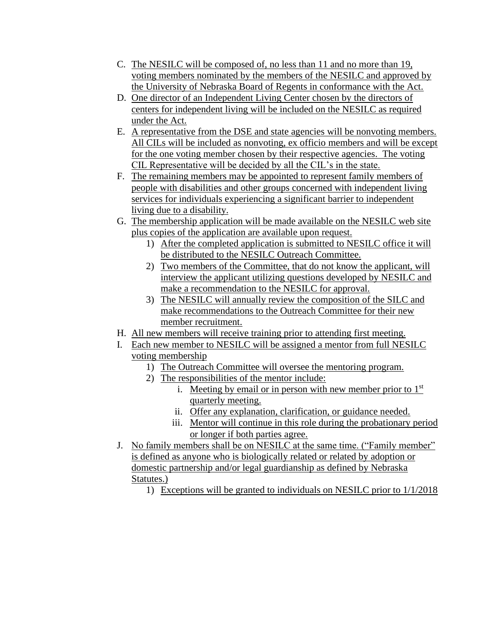- C. The NESILC will be composed of, no less than 11 and no more than 19, voting members nominated by the members of the NESILC and approved by the University of Nebraska Board of Regents in conformance with the Act.
- D. One director of an Independent Living Center chosen by the directors of centers for independent living will be included on the NESILC as required under the Act.
- E. A representative from the DSE and state agencies will be nonvoting members. All CILs will be included as nonvoting, ex officio members and will be except for the one voting member chosen by their respective agencies. The voting CIL Representative will be decided by all the CIL's in the state.
- F. The remaining members may be appointed to represent family members of people with disabilities and other groups concerned with independent living services for individuals experiencing a significant barrier to independent living due to a disability.
- G. The membership application will be made available on the NESILC web site plus copies of the application are available upon request.
	- 1) After the completed application is submitted to NESILC office it will be distributed to the NESILC Outreach Committee.
	- 2) Two members of the Committee, that do not know the applicant, will interview the applicant utilizing questions developed by NESILC and make a recommendation to the NESILC for approval.
	- 3) The NESILC will annually review the composition of the SILC and make recommendations to the Outreach Committee for their new member recruitment.
- H. All new members will receive training prior to attending first meeting.
- I. Each new member to NESILC will be assigned a mentor from full NESILC voting membership
	- 1) The Outreach Committee will oversee the mentoring program.
	- 2) The responsibilities of the mentor include:
		- i. Meeting by email or in person with new member prior to  $1<sup>st</sup>$ quarterly meeting.
		- ii. Offer any explanation, clarification, or guidance needed.
		- iii. Mentor will continue in this role during the probationary period or longer if both parties agree.
- J. No family members shall be on NESILC at the same time. ("Family member" is defined as anyone who is biologically related or related by adoption or domestic partnership and/or legal guardianship as defined by Nebraska Statutes.)
	- 1) Exceptions will be granted to individuals on NESILC prior to 1/1/2018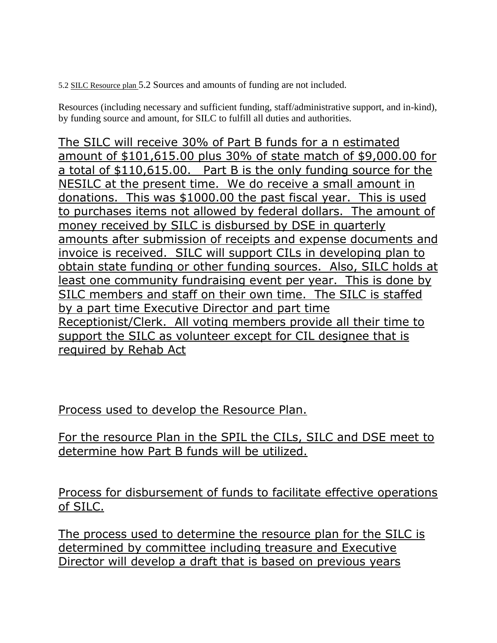5.2 SILC Resource plan 5.2 Sources and amounts of funding are not included.

Resources (including necessary and sufficient funding, staff/administrative support, and in-kind), by funding source and amount, for SILC to fulfill all duties and authorities.

The SILC will receive 30% of Part B funds for a n estimated amount of \$101,615.00 plus 30% of state match of \$9,000.00 for a total of \$110,615.00. Part B is the only funding source for the NESILC at the present time. We do receive a small amount in donations. This was \$1000.00 the past fiscal year. This is used to purchases items not allowed by federal dollars. The amount of money received by SILC is disbursed by DSE in quarterly amounts after submission of receipts and expense documents and invoice is received. SILC will support CILs in developing plan to obtain state funding or other funding sources. Also, SILC holds at least one community fundraising event per year. This is done by SILC members and staff on their own time. The SILC is staffed by a part time Executive Director and part time Receptionist/Clerk. All voting members provide all their time to support the SILC as volunteer except for CIL designee that is required by Rehab Act

Process used to develop the Resource Plan.

For the resource Plan in the SPIL the CILs, SILC and DSE meet to determine how Part B funds will be utilized.

Process for disbursement of funds to facilitate effective operations of SILC.

The process used to determine the resource plan for the SILC is determined by committee including treasure and Executive Director will develop a draft that is based on previous years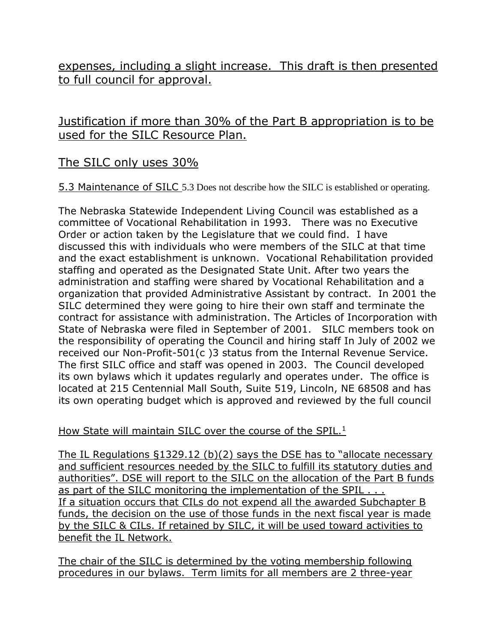expenses, including a slight increase. This draft is then presented to full council for approval.

# Justification if more than 30% of the Part B appropriation is to be used for the SILC Resource Plan.

# The SILC only uses 30%

5.3 Maintenance of SILC 5.3 Does not describe how the SILC is established or operating.

The Nebraska Statewide Independent Living Council was established as a committee of Vocational Rehabilitation in 1993. There was no Executive Order or action taken by the Legislature that we could find. I have discussed this with individuals who were members of the SILC at that time and the exact establishment is unknown. Vocational Rehabilitation provided staffing and operated as the Designated State Unit. After two years the administration and staffing were shared by Vocational Rehabilitation and a organization that provided Administrative Assistant by contract. In 2001 the SILC determined they were going to hire their own staff and terminate the contract for assistance with administration. The Articles of Incorporation with State of Nebraska were filed in September of 2001. SILC members took on the responsibility of operating the Council and hiring staff In July of 2002 we received our Non-Profit-501(c )3 status from the Internal Revenue Service. The first SILC office and staff was opened in 2003. The Council developed its own bylaws which it updates regularly and operates under. The office is located at 215 Centennial Mall South, Suite 519, Lincoln, NE 68508 and has its own operating budget which is approved and reviewed by the full council

How State will maintain SILC over the course of the SPIL.<sup>1</sup>

The IL Regulations §1329.12 (b)(2) says the DSE has to "allocate necessary and sufficient resources needed by the SILC to fulfill its statutory duties and authorities". DSE will report to the SILC on the allocation of the Part B funds as part of the SILC monitoring the implementation of the SPIL . . . If a situation occurs that CILs do not expend all the awarded Subchapter B funds, the decision on the use of those funds in the next fiscal year is made by the SILC & CILs. If retained by SILC, it will be used toward activities to benefit the IL Network.

The chair of the SILC is determined by the voting membership following procedures in our bylaws. Term limits for all members are 2 three-year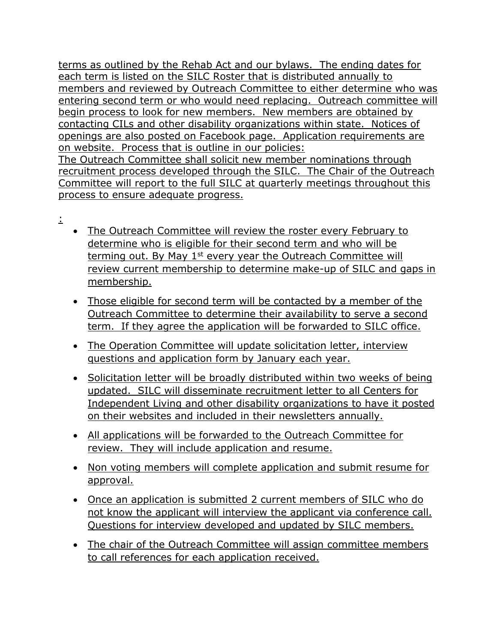terms as outlined by the Rehab Act and our bylaws. The ending dates for each term is listed on the SILC Roster that is distributed annually to members and reviewed by Outreach Committee to either determine who was entering second term or who would need replacing. Outreach committee will begin process to look for new members. New members are obtained by contacting CILs and other disability organizations within state. Notices of openings are also posted on Facebook page. Application requirements are on website. Process that is outline in our policies: The Outreach Committee shall solicit new member nominations through recruitment process developed through the SILC. The Chair of the Outreach Committee will report to the full SILC at quarterly meetings throughout this process to ensure adequate progress.

- :
- The Outreach Committee will review the roster every February to determine who is eligible for their second term and who will be terming out. By May 1<sup>st</sup> every year the Outreach Committee will review current membership to determine make-up of SILC and gaps in membership.
- Those eligible for second term will be contacted by a member of the Outreach Committee to determine their availability to serve a second term. If they agree the application will be forwarded to SILC office.
- The Operation Committee will update solicitation letter, interview questions and application form by January each year.
- Solicitation letter will be broadly distributed within two weeks of being updated. SILC will disseminate recruitment letter to all Centers for Independent Living and other disability organizations to have it posted on their websites and included in their newsletters annually.
- All applications will be forwarded to the Outreach Committee for review. They will include application and resume.
- Non voting members will complete application and submit resume for approval.
- Once an application is submitted 2 current members of SILC who do not know the applicant will interview the applicant via conference call. Questions for interview developed and updated by SILC members.
- The chair of the Outreach Committee will assign committee members to call references for each application received.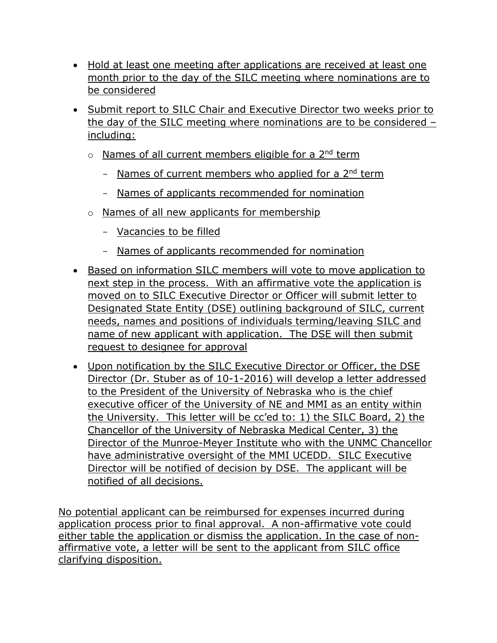- Hold at least one meeting after applications are received at least one month prior to the day of the SILC meeting where nominations are to be considered
- Submit report to SILC Chair and Executive Director two weeks prior to the day of the SILC meeting where nominations are to be considered – including:
	- o Names of all current members eligible for a 2<sup>nd</sup> term
		- Names of current members who applied for a 2<sup>nd</sup> term
		- Names of applicants recommended for nomination
	- o Names of all new applicants for membership
		- Vacancies to be filled
		- Names of applicants recommended for nomination
- Based on information SILC members will vote to move application to next step in the process. With an affirmative vote the application is moved on to SILC Executive Director or Officer will submit letter to Designated State Entity (DSE) outlining background of SILC, current needs, names and positions of individuals terming/leaving SILC and name of new applicant with application. The DSE will then submit request to designee for approval
- Upon notification by the SILC Executive Director or Officer, the DSE Director (Dr. Stuber as of 10-1-2016) will develop a letter addressed to the President of the University of Nebraska who is the chief executive officer of the University of NE and MMI as an entity within the University. This letter will be cc'ed to: 1) the SILC Board, 2) the Chancellor of the University of Nebraska Medical Center, 3) the Director of the Munroe-Meyer Institute who with the UNMC Chancellor have administrative oversight of the MMI UCEDD. SILC Executive Director will be notified of decision by DSE. The applicant will be notified of all decisions.

No potential applicant can be reimbursed for expenses incurred during application process prior to final approval. A non-affirmative vote could either table the application or dismiss the application. In the case of nonaffirmative vote, a letter will be sent to the applicant from SILC office clarifying disposition.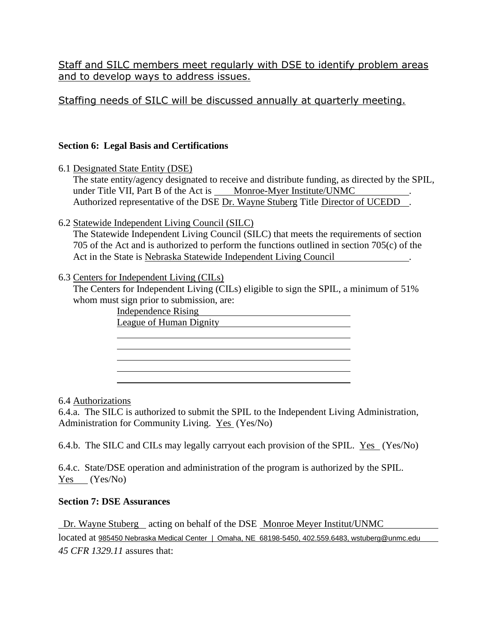Staff and SILC members meet regularly with DSE to identify problem areas and to develop ways to address issues.

## Staffing needs of SILC will be discussed annually at quarterly meeting.

#### **Section 6: Legal Basis and Certifications**

6.1 Designated State Entity (DSE)

The state entity/agency designated to receive and distribute funding, as directed by the SPIL, under Title VII, Part B of the Act is Monroe-Myer Institute/UNMC Authorized representative of the DSE Dr. Wayne Stuberg Title Director of UCEDD.

6.2 Statewide Independent Living Council (SILC)

The Statewide Independent Living Council (SILC) that meets the requirements of section 705 of the Act and is authorized to perform the functions outlined in section 705(c) of the Act in the State is Nebraska Statewide Independent Living Council .

#### 6.3 Centers for Independent Living (CILs)

The Centers for Independent Living (CILs) eligible to sign the SPIL, a minimum of 51% whom must sign prior to submission, are:

| Independence Rising     |  |
|-------------------------|--|
| League of Human Dignity |  |
|                         |  |
|                         |  |
|                         |  |
|                         |  |
|                         |  |

#### 6.4 Authorizations

6.4.a. The SILC is authorized to submit the SPIL to the Independent Living Administration, Administration for Community Living. Yes (Yes/No)

6.4.b. The SILC and CILs may legally carryout each provision of the SPIL. Yes (Yes/No)

6.4.c. State/DSE operation and administration of the program is authorized by the SPIL. Yes (Yes/No)

#### **Section 7: DSE Assurances**

Dr. Wayne Stuberg acting on behalf of the DSE Monroe Meyer Institut/UNMC located at 985450 Nebraska Medical Center | Omaha, NE 68198-5450, 402.559.6483, wstuberg@unmc.edu *45 CFR 1329.11* assures that: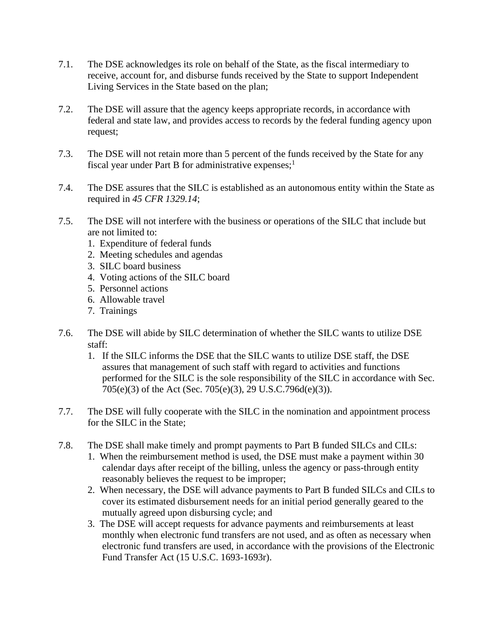- 7.1. The DSE acknowledges its role on behalf of the State, as the fiscal intermediary to receive, account for, and disburse funds received by the State to support Independent Living Services in the State based on the plan;
- 7.2. The DSE will assure that the agency keeps appropriate records, in accordance with federal and state law, and provides access to records by the federal funding agency upon request;
- 7.3. The DSE will not retain more than 5 percent of the funds received by the State for any fiscal year under Part B for administrative expenses;<sup>1</sup>
- 7.4. The DSE assures that the SILC is established as an autonomous entity within the State as required in *45 CFR 1329.14*;
- 7.5. The DSE will not interfere with the business or operations of the SILC that include but are not limited to:
	- 1. Expenditure of federal funds
	- 2. Meeting schedules and agendas
	- 3. SILC board business
	- 4. Voting actions of the SILC board
	- 5. Personnel actions
	- 6. Allowable travel
	- 7. Trainings
- 7.6. The DSE will abide by SILC determination of whether the SILC wants to utilize DSE staff:
	- 1. If the SILC informs the DSE that the SILC wants to utilize DSE staff, the DSE assures that management of such staff with regard to activities and functions performed for the SILC is the sole responsibility of the SILC in accordance with Sec. 705(e)(3) of the Act (Sec. 705(e)(3), 29 U.S.C.796d(e)(3)).
- 7.7. The DSE will fully cooperate with the SILC in the nomination and appointment process for the SILC in the State;
- 7.8. The DSE shall make timely and prompt payments to Part B funded SILCs and CILs:
	- 1. When the reimbursement method is used, the DSE must make a payment within 30 calendar days after receipt of the billing, unless the agency or pass-through entity reasonably believes the request to be improper;
	- 2. When necessary, the DSE will advance payments to Part B funded SILCs and CILs to cover its estimated disbursement needs for an initial period generally geared to the mutually agreed upon disbursing cycle; and
	- 3. The DSE will accept requests for advance payments and reimbursements at least monthly when electronic fund transfers are not used, and as often as necessary when electronic fund transfers are used, in accordance with the provisions of the Electronic Fund Transfer Act (15 U.S.C. 1693-1693r).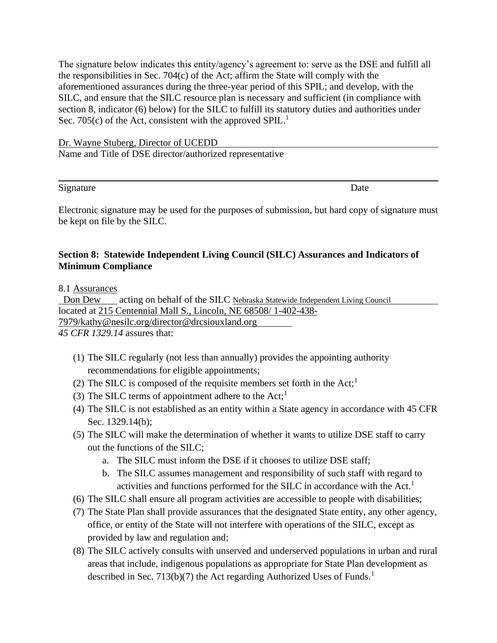The signature below indicates this entity/agency's agreement to: serve as the DSE and fulfill all the responsibilities in Sec. 704(c) of the Act; affirm the State will comply with the aforementioned assurances during the three-year period of this SPIL; and develop, with the SILC, and ensure that the SILC resource plan is necessary and sufficient (in compliance with section 8, indicator (6) below) for the SILC to fulfill its statutory duties and authorities under Sec. 705(c) of the Act, consistent with the approved SPIL.<sup>1</sup>

Dr. Wayne Stuberg, Director of UCEDD Name and Title of DSE director/authorized representative

Signature Date

Electronic signature may be used for the purposes of submission, but hard copy of signature must be kept on file by the SILC.

#### **Section 8: Statewide Independent Living Council (SILC) Assurances and Indicators of Minimum Compliance**

8.1 Assurances

 Don Dew acting on behalf of the SILC Nebraska Statewide Independent Living Council located at 215 Centennial Mall S., Lincoln, NE 68508/ 1-402-438- 7979/kathy@nesilc.org/director@drcsiouxland.org

*45 CFR 1329.14* assures that:

- (1) The SILC regularly (not less than annually) provides the appointing authority recommendations for eligible appointments;
- (2) The SILC is composed of the requisite members set forth in the  $Act;^{1}$
- (3) The SILC terms of appointment adhere to the Act;<sup>1</sup>
- (4) The SILC is not established as an entity within a State agency in accordance with 45 CFR Sec. 1329.14(b);
- (5) The SILC will make the determination of whether it wants to utilize DSE staff to carry out the functions of the SILC;
	- a. The SILC must inform the DSE if it chooses to utilize DSE staff;
	- b. The SILC assumes management and responsibility of such staff with regard to activities and functions performed for the SILC in accordance with the Act.<sup>1</sup>
- (6) The SILC shall ensure all program activities are accessible to people with disabilities;
- (7) The State Plan shall provide assurances that the designated State entity, any other agency, office, or entity of the State will not interfere with operations of the SILC, except as provided by law and regulation and;
- (8) The SILC actively consults with unserved and underserved populations in urban and rural areas that include, indigenous populations as appropriate for State Plan development as described in Sec. 713(b)(7) the Act regarding Authorized Uses of Funds.<sup>1</sup>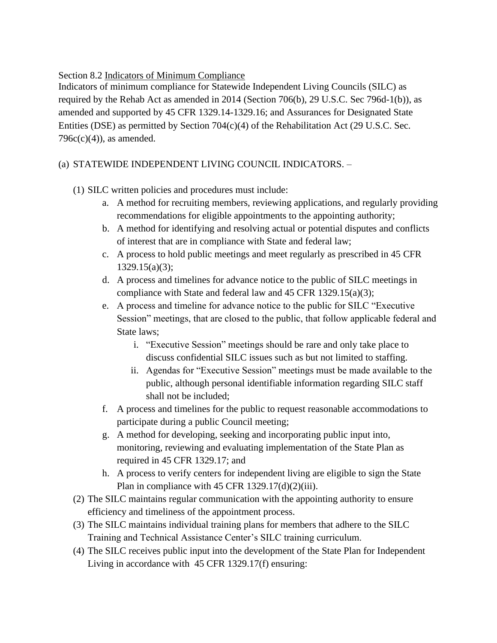Section 8.2 Indicators of Minimum Compliance

Indicators of minimum compliance for Statewide Independent Living Councils (SILC) as required by the Rehab Act as amended in 2014 (Section 706(b), 29 U.S.C. Sec 796d-1(b)), as amended and supported by 45 CFR 1329.14-1329.16; and Assurances for Designated State Entities (DSE) as permitted by Section 704(c)(4) of the Rehabilitation Act (29 U.S.C. Sec.  $796c(c)(4)$ , as amended.

#### (a) STATEWIDE INDEPENDENT LIVING COUNCIL INDICATORS. –

- (1) SILC written policies and procedures must include:
	- a. A method for recruiting members, reviewing applications, and regularly providing recommendations for eligible appointments to the appointing authority;
	- b. A method for identifying and resolving actual or potential disputes and conflicts of interest that are in compliance with State and federal law;
	- c. A process to hold public meetings and meet regularly as prescribed in 45 CFR 1329.15(a)(3);
	- d. A process and timelines for advance notice to the public of SILC meetings in compliance with State and federal law and 45 CFR 1329.15(a)(3);
	- e. A process and timeline for advance notice to the public for SILC "Executive Session" meetings, that are closed to the public, that follow applicable federal and State laws;
		- i. "Executive Session" meetings should be rare and only take place to discuss confidential SILC issues such as but not limited to staffing.
		- ii. Agendas for "Executive Session" meetings must be made available to the public, although personal identifiable information regarding SILC staff shall not be included;
	- f. A process and timelines for the public to request reasonable accommodations to participate during a public Council meeting;
	- g. A method for developing, seeking and incorporating public input into, monitoring, reviewing and evaluating implementation of the State Plan as required in 45 CFR 1329.17; and
	- h. A process to verify centers for independent living are eligible to sign the State Plan in compliance with 45 CFR  $1329.17(d)(2)(iii)$ .
- (2) The SILC maintains regular communication with the appointing authority to ensure efficiency and timeliness of the appointment process.
- (3) The SILC maintains individual training plans for members that adhere to the SILC Training and Technical Assistance Center's SILC training curriculum.
- (4) The SILC receives public input into the development of the State Plan for Independent Living in accordance with 45 CFR 1329.17(f) ensuring: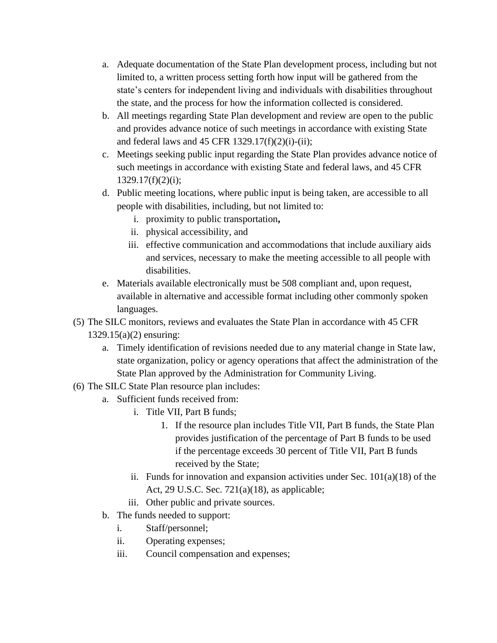- a. Adequate documentation of the State Plan development process, including but not limited to, a written process setting forth how input will be gathered from the state's centers for independent living and individuals with disabilities throughout the state, and the process for how the information collected is considered.
- b. All meetings regarding State Plan development and review are open to the public and provides advance notice of such meetings in accordance with existing State and federal laws and 45 CFR  $1329.17(f)(2)(i)$ -(ii);
- c. Meetings seeking public input regarding the State Plan provides advance notice of such meetings in accordance with existing State and federal laws, and 45 CFR  $1329.17(f)(2)(i)$ ;
- d. Public meeting locations, where public input is being taken, are accessible to all people with disabilities, including, but not limited to:
	- i. proximity to public transportation**,**
	- ii. physical accessibility, and
	- iii. effective communication and accommodations that include auxiliary aids and services, necessary to make the meeting accessible to all people with disabilities.
- e. Materials available electronically must be 508 compliant and, upon request, available in alternative and accessible format including other commonly spoken languages.
- (5) The SILC monitors, reviews and evaluates the State Plan in accordance with 45 CFR
	- 1329.15(a)(2) ensuring:
		- a. Timely identification of revisions needed due to any material change in State law, state organization, policy or agency operations that affect the administration of the State Plan approved by the Administration for Community Living.
- (6) The SILC State Plan resource plan includes:
	- a. Sufficient funds received from:
		- i. Title VII, Part B funds;
			- 1. If the resource plan includes Title VII, Part B funds, the State Plan provides justification of the percentage of Part B funds to be used if the percentage exceeds 30 percent of Title VII, Part B funds received by the State;
		- ii. Funds for innovation and expansion activities under Sec.  $101(a)(18)$  of the Act, 29 U.S.C. Sec. 721(a)(18), as applicable;
		- iii. Other public and private sources.
	- b. The funds needed to support:
		- i. Staff/personnel;
		- ii. Operating expenses;
		- iii. Council compensation and expenses;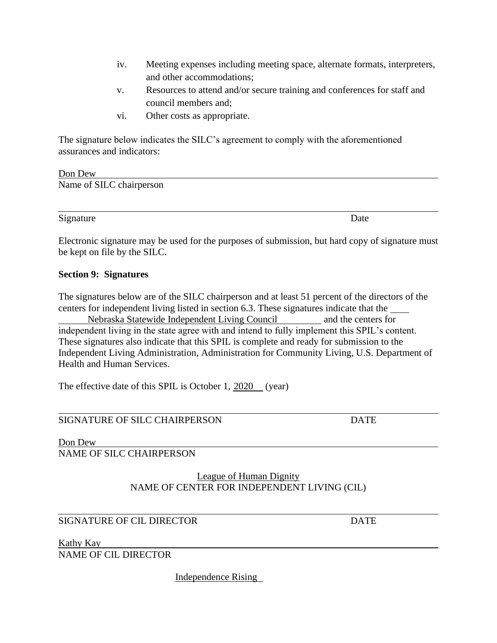- iv. Meeting expenses including meeting space, alternate formats, interpreters, and other accommodations;
- v. Resources to attend and/or secure training and conferences for staff and council members and;
- vi. Other costs as appropriate.

The signature below indicates the SILC's agreement to comply with the aforementioned assurances and indicators:

| Don Dew                  |  |  |
|--------------------------|--|--|
| Name of SILC chairperson |  |  |

Signature Date

Electronic signature may be used for the purposes of submission, but hard copy of signature must be kept on file by the SILC.

#### **Section 9: Signatures**

The signatures below are of the SILC chairperson and at least 51 percent of the directors of the centers for independent living listed in section 6.3. These signatures indicate that the

Nebraska Statewide Independent Living Council and the centers for independent living in the state agree with and intend to fully implement this SPIL's content. These signatures also indicate that this SPIL is complete and ready for submission to the Independent Living Administration, Administration for Community Living, U.S. Department of Health and Human Services.

The effective date of this SPIL is October 1, 2020 (year)

#### SIGNATURE OF SILC CHAIRPERSON DATE

Don Dew

NAME OF SILC CHAIRPERSON

#### League of Human Dignity NAME OF CENTER FOR INDEPENDENT LIVING (CIL)

#### SIGNATURE OF CIL DIRECTOR DATE

Kathy Kay

NAME OF CIL DIRECTOR

Independence Rising